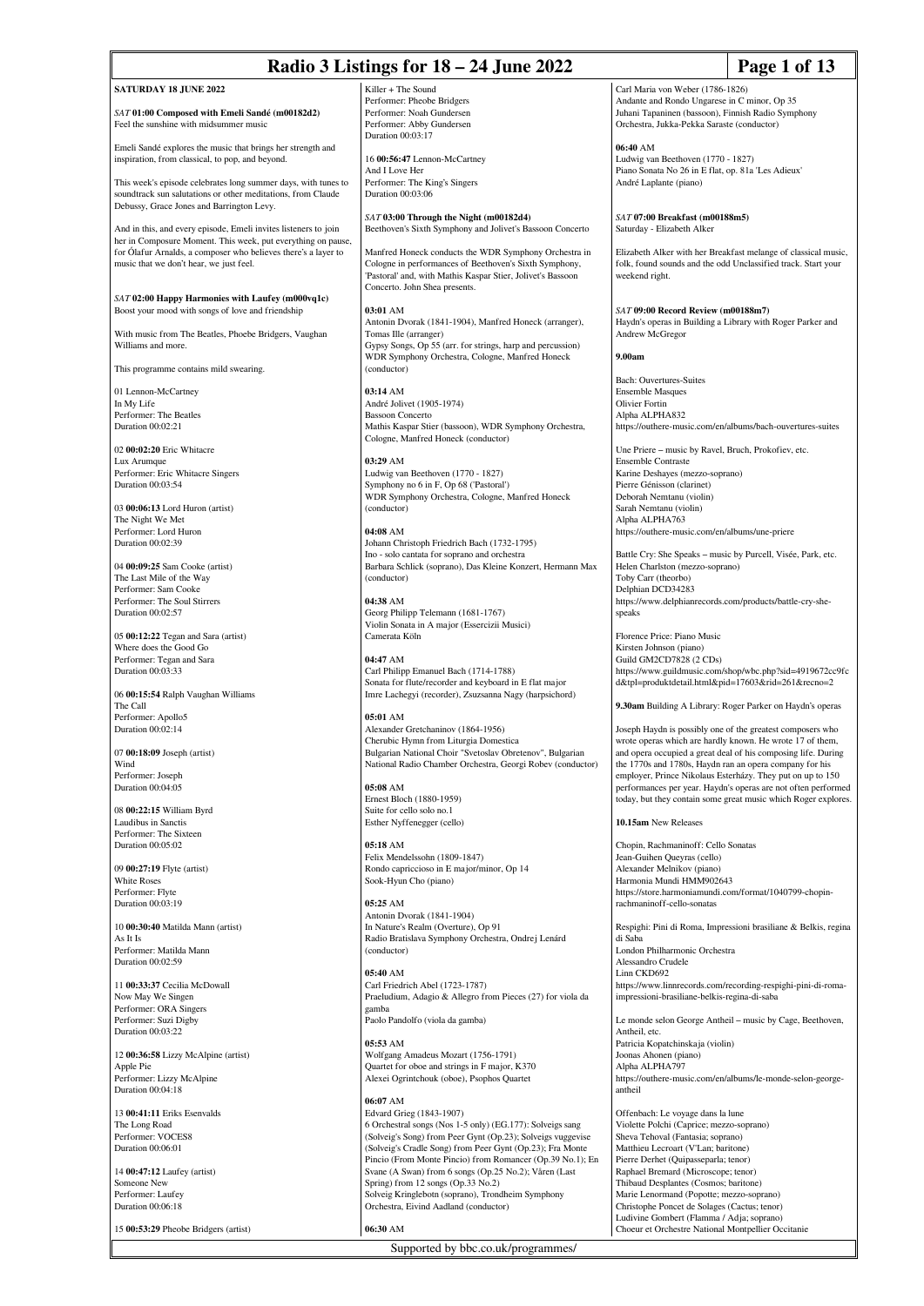| Radio 3 Listings for 18 – 24 June 2022<br>Page 1 of 13                                                    |                                                                                                                       |                                                                                                                         |
|-----------------------------------------------------------------------------------------------------------|-----------------------------------------------------------------------------------------------------------------------|-------------------------------------------------------------------------------------------------------------------------|
| <b>SATURDAY 18 JUNE 2022</b>                                                                              | Killer + The Sound                                                                                                    | Carl Maria von Weber (1786-1826)                                                                                        |
|                                                                                                           | Performer: Pheobe Bridgers                                                                                            | Andante and Rondo Ungarese in C minor, Op 35                                                                            |
| SAT 01:00 Composed with Emeli Sandé (m00182d2)                                                            | Performer: Noah Gundersen                                                                                             | Juhani Tapaninen (bassoon), Finnish Radio Symphony                                                                      |
| Feel the sunshine with midsummer music                                                                    | Performer: Abby Gundersen<br>Duration 00:03:17                                                                        | Orchestra, Jukka-Pekka Saraste (conductor)                                                                              |
| Emeli Sandé explores the music that brings her strength and                                               |                                                                                                                       | 06:40 AM                                                                                                                |
| inspiration, from classical, to pop, and beyond.                                                          | 16 00:56:47 Lennon-McCartney                                                                                          | Ludwig van Beethoven (1770 - 1827)                                                                                      |
|                                                                                                           | And I Love Her                                                                                                        | Piano Sonata No 26 in E flat, op. 81a 'Les Adieux'                                                                      |
| This week's episode celebrates long summer days, with tunes to                                            | Performer: The King's Singers                                                                                         | André Laplante (piano)                                                                                                  |
| soundtrack sun salutations or other meditations, from Claude<br>Debussy, Grace Jones and Barrington Levy. | Duration 00:03:06                                                                                                     |                                                                                                                         |
|                                                                                                           | SAT 03:00 Through the Night (m00182d4)                                                                                | SAT 07:00 Breakfast (m00188m5)                                                                                          |
| And in this, and every episode, Emeli invites listeners to join                                           | Beethoven's Sixth Symphony and Jolivet's Bassoon Concerto                                                             | Saturday - Elizabeth Alker                                                                                              |
| her in Composure Moment. This week, put everything on pause,                                              |                                                                                                                       |                                                                                                                         |
| for Ólafur Arnalds, a composer who believes there's a layer to<br>music that we don't hear, we just feel. | Manfred Honeck conducts the WDR Symphony Orchestra in                                                                 | Elizabeth Alker with her Breakfast melange of classical music,                                                          |
|                                                                                                           | Cologne in performances of Beethoven's Sixth Symphony,<br>'Pastoral' and, with Mathis Kaspar Stier, Jolivet's Bassoon | folk, found sounds and the odd Unclassified track. Start your<br>weekend right.                                         |
|                                                                                                           | Concerto. John Shea presents.                                                                                         |                                                                                                                         |
| SAT 02:00 Happy Harmonies with Laufey (m000vq1c)                                                          |                                                                                                                       |                                                                                                                         |
| Boost your mood with songs of love and friendship                                                         | 03:01 AM                                                                                                              | SAT 09:00 Record Review (m00188m7)                                                                                      |
| With music from The Beatles, Phoebe Bridgers, Vaughan                                                     | Antonin Dvorak (1841-1904), Manfred Honeck (arranger),<br>Tomas Ille (arranger)                                       | Haydn's operas in Building a Library with Roger Parker and<br>Andrew McGregor                                           |
| Williams and more.                                                                                        | Gypsy Songs, Op 55 (arr. for strings, harp and percussion)                                                            |                                                                                                                         |
|                                                                                                           | WDR Symphony Orchestra, Cologne, Manfred Honeck                                                                       | 9.00am                                                                                                                  |
| This programme contains mild swearing.                                                                    | (conductor)                                                                                                           |                                                                                                                         |
|                                                                                                           |                                                                                                                       | <b>Bach: Ouvertures-Suites</b>                                                                                          |
| 01 Lennon-McCartney<br>In My Life                                                                         | 03:14 AM<br>André Jolivet (1905-1974)                                                                                 | <b>Ensemble Masques</b><br><b>Olivier Fortin</b>                                                                        |
| Performer: The Beatles                                                                                    | <b>Bassoon Concerto</b>                                                                                               | Alpha ALPHA832                                                                                                          |
| Duration 00:02:21                                                                                         | Mathis Kaspar Stier (bassoon), WDR Symphony Orchestra,                                                                | https://outhere-music.com/en/albums/bach-ouvertures-suites                                                              |
|                                                                                                           | Cologne, Manfred Honeck (conductor)                                                                                   |                                                                                                                         |
| 02 00:02:20 Eric Whitacre                                                                                 |                                                                                                                       | Une Priere - music by Ravel, Bruch, Prokofiev, etc.                                                                     |
| Lux Arumque<br>Performer: Eric Whitacre Singers                                                           | 03:29 AM<br>Ludwig van Beethoven (1770 - 1827)                                                                        | <b>Ensemble Contraste</b><br>Karine Deshayes (mezzo-soprano)                                                            |
| Duration 00:03:54                                                                                         | Symphony no 6 in F, Op 68 ('Pastoral')                                                                                | Pierre Génisson (clarinet)                                                                                              |
|                                                                                                           | WDR Symphony Orchestra, Cologne, Manfred Honeck                                                                       | Deborah Nemtanu (violin)                                                                                                |
| 03 00:06:13 Lord Huron (artist)                                                                           | (conductor)                                                                                                           | Sarah Nemtanu (violin)                                                                                                  |
| The Night We Met                                                                                          |                                                                                                                       | Alpha ALPHA763                                                                                                          |
| Performer: Lord Huron<br>Duration 00:02:39                                                                | 04:08 AM                                                                                                              | https://outhere-music.com/en/albums/une-priere                                                                          |
|                                                                                                           | Johann Christoph Friedrich Bach (1732-1795)<br>Ino - solo cantata for soprano and orchestra                           | Battle Cry: She Speaks - music by Purcell, Visée, Park, etc.                                                            |
| 04 00:09:25 Sam Cooke (artist)                                                                            | Barbara Schlick (soprano), Das Kleine Konzert, Hermann Max                                                            | Helen Charlston (mezzo-soprano)                                                                                         |
| The Last Mile of the Way                                                                                  | (conductor)                                                                                                           | Toby Carr (theorbo)                                                                                                     |
| Performer: Sam Cooke                                                                                      |                                                                                                                       | Delphian DCD34283                                                                                                       |
| Performer: The Soul Stirrers<br>Duration 00:02:57                                                         | 04:38 AM<br>Georg Philipp Telemann (1681-1767)                                                                        | https://www.delphianrecords.com/products/battle-cry-she-<br>speaks                                                      |
|                                                                                                           | Violin Sonata in A major (Essercizii Musici)                                                                          |                                                                                                                         |
| 05 00:12:22 Tegan and Sara (artist)                                                                       | Camerata Köln                                                                                                         | Florence Price: Piano Music                                                                                             |
| Where does the Good Go                                                                                    |                                                                                                                       | Kirsten Johnson (piano)                                                                                                 |
| Performer: Tegan and Sara<br>Duration 00:03:33                                                            | 04:47 AM                                                                                                              | Guild GM2CD7828 (2 CDs)<br>https://www.guildmusic.com/shop/wbc.php?sid=4919672cc9fc                                     |
|                                                                                                           | Carl Philipp Emanuel Bach (1714-1788)<br>Sonata for flute/recorder and keyboard in E flat major                       | d&tpl=produktdetail.html&pid=17603&rid=261&recno=2                                                                      |
| 06 00:15:54 Ralph Vaughan Williams                                                                        | Imre Lachegyi (recorder), Zsuzsanna Nagy (harpsichord)                                                                |                                                                                                                         |
| The Call                                                                                                  |                                                                                                                       | 9.30am Building A Library: Roger Parker on Haydn's operas                                                               |
| Performer: Apollo5                                                                                        | 05:01 AM                                                                                                              |                                                                                                                         |
| Duration 00:02:14                                                                                         | Alexander Gretchaninov (1864-1956)<br>Cherubic Hymn from Liturgia Domestica                                           | Joseph Haydn is possibly one of the greatest composers who<br>wrote operas which are hardly known. He wrote 17 of them, |
| 07 00:18:09 Joseph (artist)                                                                               | Bulgarian National Choir "Svetoslav Obretenov", Bulgarian                                                             | and opera occupied a great deal of his composing life. During                                                           |
| Wind                                                                                                      | National Radio Chamber Orchestra, Georgi Robev (conductor)                                                            | the 1770s and 1780s, Haydn ran an opera company for his                                                                 |
| Performer: Joseph                                                                                         |                                                                                                                       | employer, Prince Nikolaus Esterházy. They put on up to 150                                                              |
| Duration 00:04:05                                                                                         | $05:08$ AM<br>Ernest Bloch (1880-1959)                                                                                | performances per year. Haydn's operas are not often performed                                                           |
| 08 00:22:15 William Byrd                                                                                  | Suite for cello solo no.1                                                                                             | today, but they contain some great music which Roger explores.                                                          |
| Laudibus in Sanctis                                                                                       | Esther Nyffenegger (cello)                                                                                            | 10.15am New Releases                                                                                                    |
| Performer: The Sixteen                                                                                    |                                                                                                                       |                                                                                                                         |
| Duration 00:05:02                                                                                         | 05:18 AM                                                                                                              | Chopin, Rachmaninoff: Cello Sonatas                                                                                     |
| 09 00:27:19 Flyte (artist)                                                                                | Felix Mendelssohn (1809-1847)<br>Rondo capriccioso in E major/minor, Op 14                                            | Jean-Guihen Queyras (cello)<br>Alexander Melnikov (piano)                                                               |
| <b>White Roses</b>                                                                                        | Sook-Hyun Cho (piano)                                                                                                 | Harmonia Mundi HMM902643                                                                                                |
| Performer: Flyte                                                                                          |                                                                                                                       | https://store.harmoniamundi.com/format/1040799-chopin-                                                                  |
| Duration 00:03:19                                                                                         | 05:25 AM                                                                                                              | rachmaninoff-cello-sonatas                                                                                              |
|                                                                                                           | Antonin Dvorak (1841-1904)                                                                                            |                                                                                                                         |
| 10 00:30:40 Matilda Mann (artist)<br>As It Is                                                             | In Nature's Realm (Overture), Op 91<br>Radio Bratislava Symphony Orchestra, Ondrej Lenárd                             | Respighi: Pini di Roma, Impressioni brasiliane & Belkis, regina<br>di Saba                                              |
| Performer: Matilda Mann                                                                                   | (conductor)                                                                                                           | London Philharmonic Orchestra                                                                                           |
| Duration 00:02:59                                                                                         |                                                                                                                       | Alessandro Crudele                                                                                                      |
|                                                                                                           | 05:40 AM                                                                                                              | Linn CKD692                                                                                                             |
| 11 00:33:37 Cecilia McDowall                                                                              | Carl Friedrich Abel (1723-1787)                                                                                       | https://www.linnrecords.com/recording-respighi-pini-di-roma-                                                            |
| Now May We Singen<br>Performer: ORA Singers                                                               | Praeludium, Adagio & Allegro from Pieces (27) for viola da<br>gamba                                                   | impressioni-brasiliane-belkis-regina-di-saba                                                                            |
| Performer: Suzi Digby                                                                                     | Paolo Pandolfo (viola da gamba)                                                                                       | Le monde selon George Antheil - music by Cage, Beethoven,                                                               |
| Duration 00:03:22                                                                                         |                                                                                                                       | Antheil, etc.                                                                                                           |
|                                                                                                           | 05:53 AM                                                                                                              | Patricia Kopatchinskaja (violin)                                                                                        |
| 12 00:36:58 Lizzy McAlpine (artist)<br>$\Delta$ nnle Pie                                                  | Wolfgang Amadeus Mozart (1756-1791)<br>Ouartet for oboe and strings in $F$ major $K370$                               | Joonas Ahonen (piano)<br>$Alpha$ $AI$ $PHA$ 797                                                                         |

Apple Pie Performer: Lizzy McAlpine Duration 00:04:18

13 **00:41:11** Eriks Esenvalds The Long Road Performer: VOCES8 Duration 00:06:01

14 **00:47:12** Laufey (artist) Someone New Performer: Laufey Duration 00:06:18

15 **00:53:29** Pheobe Bridgers (artist)

Quartet for oboe and strings in F major, K370 Alexei Ogrintchouk (oboe), Psophos Quartet

**06:07** AM Edvard Grieg (1843-1907) 6 Orchestral songs (Nos 1-5 only) (EG.177): Solveigs sang (Solveig's Song) from Peer Gynt (Op.23); Solveigs vuggevise (Solveig's Cradle Song) from Peer Gynt (Op.23); Fra Monte<br>Pincio (From Monte Pincio) from Romancer (Op.39 No.1); En<br>Svane (A Swan) from 6 songs (Op.25 No.2); Våren (Last<br>Spring) from 12 songs (Op.33 No.2)<br>Solveig Kringlebo

**06:30** AM

Supported by bbc.co.uk/programmes/

Alpha ALPHA797 https://outhere-music.com/en/albums/le-monde-selon-george-antheil

Offenbach: Le voyage dans la lune Violette Polchi (Caprice; mezzo-soprano) Sheva Tehoval (Fantasia; soprano) Matthieu Lecroart (V'Lan; baritone) Pierre Derhet (Quipasseparla; tenor) Raphael Bremard (Microscope; tenor) Thibaud Desplantes (Cosmos; baritone) Marie Lenormand (Popotte; mezzo-soprano) Christophe Poncet de Solages (Cactus; tenor) Ludivine Gombert (Flamma / Adja; soprano) Choeur et Orchestre National Montpellier Occitanie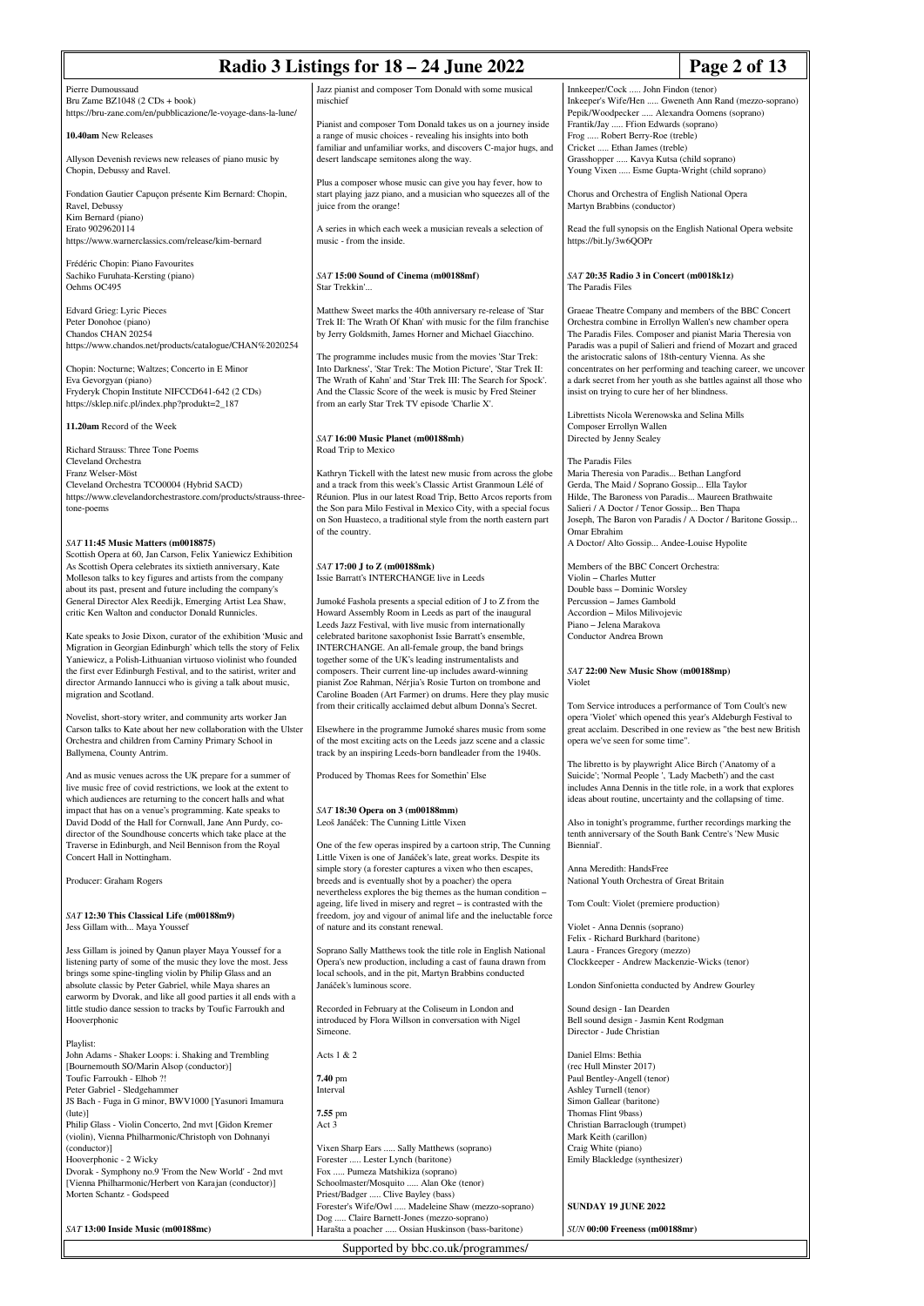| Radio 3 Listings for 18 – 24 June 2022<br>Page 2 of 13                                                                              |                                                                                                                                                                                       |                                                                                                                                                                                          |
|-------------------------------------------------------------------------------------------------------------------------------------|---------------------------------------------------------------------------------------------------------------------------------------------------------------------------------------|------------------------------------------------------------------------------------------------------------------------------------------------------------------------------------------|
| Pierre Dumoussaud                                                                                                                   | Jazz pianist and composer Tom Donald with some musical                                                                                                                                | Innkeeper/Cock  John Findon (tenor)                                                                                                                                                      |
| Bru Zame BZ $1048$ (2 CDs + book)<br>https://bru-zane.com/en/pubblicazione/le-voyage-dans-la-lune/                                  | mischief<br>Pianist and composer Tom Donald takes us on a journey inside                                                                                                              | Inkeeper's Wife/Hen  Gweneth Ann Rand (mezzo-soprano)<br>Pepik/Woodpecker  Alexandra Oomens (soprano)<br>Frantik/Jay  Ffion Edwards (soprano)                                            |
| 10.40am New Releases                                                                                                                | a range of music choices - revealing his insights into both<br>familiar and unfamiliar works, and discovers C-major hugs, and                                                         | Frog  Robert Berry-Roe (treble)<br>Cricket  Ethan James (treble)                                                                                                                         |
| Allyson Devenish reviews new releases of piano music by<br>Chopin, Debussy and Ravel.                                               | desert landscape semitones along the way.                                                                                                                                             | Grasshopper  Kavya Kutsa (child soprano)<br>Young Vixen  Esme Gupta-Wright (child soprano)                                                                                               |
| Fondation Gautier Capuçon présente Kim Bernard: Chopin,<br>Ravel, Debussy                                                           | Plus a composer whose music can give you hay fever, how to<br>start playing jazz piano, and a musician who squeezes all of the<br>juice from the orange!                              | Chorus and Orchestra of English National Opera<br>Martyn Brabbins (conductor)                                                                                                            |
| Kim Bernard (piano)<br>Erato 9029620114<br>https://www.warnerclassics.com/release/kim-bernard                                       | A series in which each week a musician reveals a selection of<br>music - from the inside.                                                                                             | Read the full synopsis on the English National Opera website<br>https://bit.ly/3w6QOPr                                                                                                   |
| Frédéric Chopin: Piano Favourites<br>Sachiko Furuhata-Kersting (piano)<br>Oehms OC495                                               | SAT 15:00 Sound of Cinema (m00188mf)<br>Star Trekkin'                                                                                                                                 | $SAT$ 20:35 Radio 3 in Concert (m0018k1z)<br>The Paradis Files                                                                                                                           |
| Edvard Grieg: Lyric Pieces                                                                                                          | Matthew Sweet marks the 40th anniversary re-release of 'Star                                                                                                                          | Graeae Theatre Company and members of the BBC Concert                                                                                                                                    |
| Peter Donohoe (piano)<br>Chandos CHAN 20254<br>https://www.chandos.net/products/catalogue/CHAN%2020254                              | Trek II: The Wrath Of Khan' with music for the film franchise<br>by Jerry Goldsmith, James Horner and Michael Giacchino.                                                              | Orchestra combine in Errollyn Wallen's new chamber opera<br>The Paradis Files. Composer and pianist Maria Theresia von<br>Paradis was a pupil of Salieri and friend of Mozart and graced |
| Chopin: Nocturne; Waltzes; Concerto in E Minor                                                                                      | The programme includes music from the movies 'Star Trek:<br>Into Darkness', 'Star Trek: The Motion Picture', 'Star Trek II:                                                           | the aristocratic salons of 18th-century Vienna. As she<br>concentrates on her performing and teaching career, we uncover                                                                 |
| Eva Gevorgyan (piano)                                                                                                               | The Wrath of Kahn' and 'Star Trek III: The Search for Spock'.                                                                                                                         | a dark secret from her youth as she battles against all those who                                                                                                                        |
| Fryderyk Chopin Institute NIFCCD641-642 (2 CDs)<br>https://sklep.nifc.pl/index.php?produkt=2_187                                    | And the Classic Score of the week is music by Fred Steiner<br>from an early Star Trek TV episode 'Charlie X'.                                                                         | insist on trying to cure her of her blindness.                                                                                                                                           |
| 11.20am Record of the Week                                                                                                          | SAT 16:00 Music Planet (m00188mh)                                                                                                                                                     | Librettists Nicola Werenowska and Selina Mills<br>Composer Errollyn Wallen<br>Directed by Jenny Sealey                                                                                   |
| Richard Strauss: Three Tone Poems                                                                                                   | Road Trip to Mexico                                                                                                                                                                   |                                                                                                                                                                                          |
| Cleveland Orchestra<br>Franz Welser-Möst                                                                                            | Kathryn Tickell with the latest new music from across the globe                                                                                                                       | The Paradis Files<br>Maria Theresia von Paradis Bethan Langford                                                                                                                          |
| Cleveland Orchestra TCO0004 (Hybrid SACD)<br>https://www.clevelandorchestrastore.com/products/strauss-three-                        | and a track from this week's Classic Artist Granmoun Lélé of<br>Réunion. Plus in our latest Road Trip, Betto Arcos reports from                                                       | Gerda, The Maid / Soprano Gossip Ella Taylor<br>Hilde, The Baroness von Paradis Maureen Brathwaite                                                                                       |
| tone-poems                                                                                                                          | the Son para Milo Festival in Mexico City, with a special focus                                                                                                                       | Salieri / A Doctor / Tenor Gossip Ben Thapa                                                                                                                                              |
|                                                                                                                                     | on Son Huasteco, a traditional style from the north eastern part<br>of the country.                                                                                                   | Joseph, The Baron von Paradis / A Doctor / Baritone Gossip<br>Omar Ebrahim                                                                                                               |
| SAT 11:45 Music Matters (m0018875)<br>Scottish Opera at 60, Jan Carson, Felix Yaniewicz Exhibition                                  |                                                                                                                                                                                       | A Doctor/ Alto Gossip Andee-Louise Hypolite                                                                                                                                              |
| As Scottish Opera celebrates its sixtieth anniversary, Kate                                                                         | SAT 17:00 J to Z (m00188mk)                                                                                                                                                           | Members of the BBC Concert Orchestra:                                                                                                                                                    |
| Molleson talks to key figures and artists from the company<br>about its past, present and future including the company's            | Issie Barratt's INTERCHANGE live in Leeds                                                                                                                                             | Violin - Charles Mutter<br>Double bass - Dominic Worsley                                                                                                                                 |
| General Director Alex Reedijk, Emerging Artist Lea Shaw,<br>critic Ken Walton and conductor Donald Runnicles.                       | Jumoké Fashola presents a special edition of J to Z from the<br>Howard Assembly Room in Leeds as part of the inaugural                                                                | Percussion - James Gambold<br>Accordion - Milos Milivojevic                                                                                                                              |
|                                                                                                                                     | Leeds Jazz Festival, with live music from internationally                                                                                                                             | Piano - Jelena Marakova                                                                                                                                                                  |
| Kate speaks to Josie Dixon, curator of the exhibition 'Music and<br>Migration in Georgian Edinburgh' which tells the story of Felix | celebrated baritone saxophonist Issie Barratt's ensemble,<br>INTERCHANGE. An all-female group, the band brings                                                                        | Conductor Andrea Brown                                                                                                                                                                   |
| Yaniewicz, a Polish-Lithuanian virtuoso violinist who founded<br>the first ever Edinburgh Festival, and to the satirist, writer and | together some of the UK's leading instrumentalists and<br>composers. Their current line-up includes award-winning                                                                     | SAT 22:00 New Music Show (m00188mp)                                                                                                                                                      |
| director Armando Iannucci who is giving a talk about music,                                                                         | pianist Zoe Rahman, Nérjia's Rosie Turton on trombone and                                                                                                                             | Violet                                                                                                                                                                                   |
| migration and Scotland.                                                                                                             | Caroline Boaden (Art Farmer) on drums. Here they play music<br>from their critically acclaimed debut album Donna's Secret.                                                            | Tom Service introduces a performance of Tom Coult's new                                                                                                                                  |
| Novelist, short-story writer, and community arts worker Jan<br>Carson talks to Kate about her new collaboration with the Ulster     | Elsewhere in the programme Jumoké shares music from some                                                                                                                              | opera 'Violet' which opened this year's Aldeburgh Festival to<br>great acclaim. Described in one review as "the best new British                                                         |
| Orchestra and children from Carniny Primary School in<br>Ballymena, County Antrim.                                                  | of the most exciting acts on the Leeds jazz scene and a classic<br>track by an inspiring Leeds-born bandleader from the 1940s.                                                        | opera we've seen for some time".                                                                                                                                                         |
| And as music venues across the UK prepare for a summer of<br>live music free of covid restrictions, we look at the extent to        | Produced by Thomas Rees for Somethin' Else                                                                                                                                            | The libretto is by playwright Alice Birch ('Anatomy of a<br>Suicide'; 'Normal People', 'Lady Macbeth') and the cast<br>includes Anna Dennis in the title role, in a work that explores   |
| which audiences are returning to the concert halls and what<br>impact that has on a venue's programming. Kate speaks to             | SAT 18:30 Opera on 3 (m00188mm)                                                                                                                                                       | ideas about routine, uncertainty and the collapsing of time.                                                                                                                             |
| David Dodd of the Hall for Cornwall, Jane Ann Purdy, co-<br>director of the Soundhouse concerts which take place at the             | Leoš Janáček: The Cunning Little Vixen                                                                                                                                                | Also in tonight's programme, further recordings marking the<br>tenth anniversary of the South Bank Centre's 'New Music                                                                   |
| Traverse in Edinburgh, and Neil Bennison from the Royal<br>Concert Hall in Nottingham.                                              | One of the few operas inspired by a cartoon strip, The Cunning<br>Little Vixen is one of Janáček's late, great works. Despite its                                                     | Biennial'.                                                                                                                                                                               |
| Producer: Graham Rogers                                                                                                             | simple story (a forester captures a vixen who then escapes,<br>breeds and is eventually shot by a poacher) the opera<br>nevertheless explores the big themes as the human condition - | Anna Meredith: HandsFree<br>National Youth Orchestra of Great Britain                                                                                                                    |
| SAT 12:30 This Classical Life (m00188m9)                                                                                            | ageing, life lived in misery and regret - is contrasted with the<br>freedom, joy and vigour of animal life and the ineluctable force                                                  | Tom Coult: Violet (premiere production)                                                                                                                                                  |
| Jess Gillam with Maya Youssef                                                                                                       | of nature and its constant renewal.                                                                                                                                                   | Violet - Anna Dennis (soprano)                                                                                                                                                           |
| Jess Gillam is joined by Qanun player Maya Youssef for a                                                                            | Soprano Sally Matthews took the title role in English National                                                                                                                        | Felix - Richard Burkhard (baritone)<br>Laura - Frances Gregory (mezzo)                                                                                                                   |
| listening party of some of the music they love the most. Jess<br>brings some spine-tingling violin by Philip Glass and an           | Opera's new production, including a cast of fauna drawn from<br>local schools, and in the pit, Martyn Brabbins conducted                                                              | Clockkeeper - Andrew Mackenzie-Wicks (tenor)                                                                                                                                             |
| absolute classic by Peter Gabriel, while Maya shares an                                                                             | Janáček's luminous score.                                                                                                                                                             | London Sinfonietta conducted by Andrew Gourley                                                                                                                                           |
| earworm by Dvorak, and like all good parties it all ends with a<br>little studio dance session to tracks by Toufic Farroukh and     | Recorded in February at the Coliseum in London and                                                                                                                                    | Sound design - Ian Dearden                                                                                                                                                               |
| Hooverphonic                                                                                                                        | introduced by Flora Willson in conversation with Nigel<br>Simeone.                                                                                                                    | Bell sound design - Jasmin Kent Rodgman<br>Director - Jude Christian                                                                                                                     |
| Playlist:                                                                                                                           |                                                                                                                                                                                       |                                                                                                                                                                                          |
| John Adams - Shaker Loops: i. Shaking and Trembling<br>[Bournemouth SO/Marin Alsop (conductor)]                                     | Acts 1 & 2                                                                                                                                                                            | Daniel Elms: Bethia<br>(rec Hull Minster 2017)                                                                                                                                           |
| Toufic Farroukh - Elhob ?!<br>Peter Gabriel - Sledgehammer                                                                          | 7.40 pm<br>Interval                                                                                                                                                                   | Paul Bentley-Angell (tenor)<br>Ashley Turnell (tenor)                                                                                                                                    |
| JS Bach - Fuga in G minor, BWV1000 [Yasunori Imamura                                                                                |                                                                                                                                                                                       | Simon Gallear (baritone)                                                                                                                                                                 |
| (lute)]<br>Philip Glass - Violin Concerto, 2nd mvt [Gidon Kremer                                                                    | 7.55 pm<br>Act 3                                                                                                                                                                      | Thomas Flint 9bass)<br>Christian Barraclough (trumpet)                                                                                                                                   |
| (violin), Vienna Philharmonic/Christoph von Dohnanyi<br>(conductor)]                                                                | Vixen Sharp Ears  Sally Matthews (soprano)                                                                                                                                            | Mark Keith (carillon)<br>Craig White (piano)                                                                                                                                             |
| Hooverphonic - 2 Wicky                                                                                                              | Forester  Lester Lynch (baritone)                                                                                                                                                     | Emily Blackledge (synthesizer)                                                                                                                                                           |
| Dvorak - Symphony no.9 'From the New World' - 2nd mvt<br>[Vienna Philharmonic/Herbert von Karajan (conductor)]                      | Fox  Pumeza Matshikiza (soprano)<br>Schoolmaster/Mosquito  Alan Oke (tenor)                                                                                                           |                                                                                                                                                                                          |
| Morten Schantz - Godspeed                                                                                                           | Priest/Badger  Clive Bayley (bass)<br>Forester's Wife/Owl  Madeleine Shaw (mezzo-soprano)                                                                                             | <b>SUNDAY 19 JUNE 2022</b>                                                                                                                                                               |
|                                                                                                                                     | Dog  Claire Barnett-Jones (mezzo-soprano)                                                                                                                                             |                                                                                                                                                                                          |
| SAT 13:00 Inside Music (m00188mc)                                                                                                   | Harašta a poacher  Ossian Huskinson (bass-baritone)                                                                                                                                   | SUN 00:00 Freeness (m00188mr)                                                                                                                                                            |
| Supported by bbc.co.uk/programmes/                                                                                                  |                                                                                                                                                                                       |                                                                                                                                                                                          |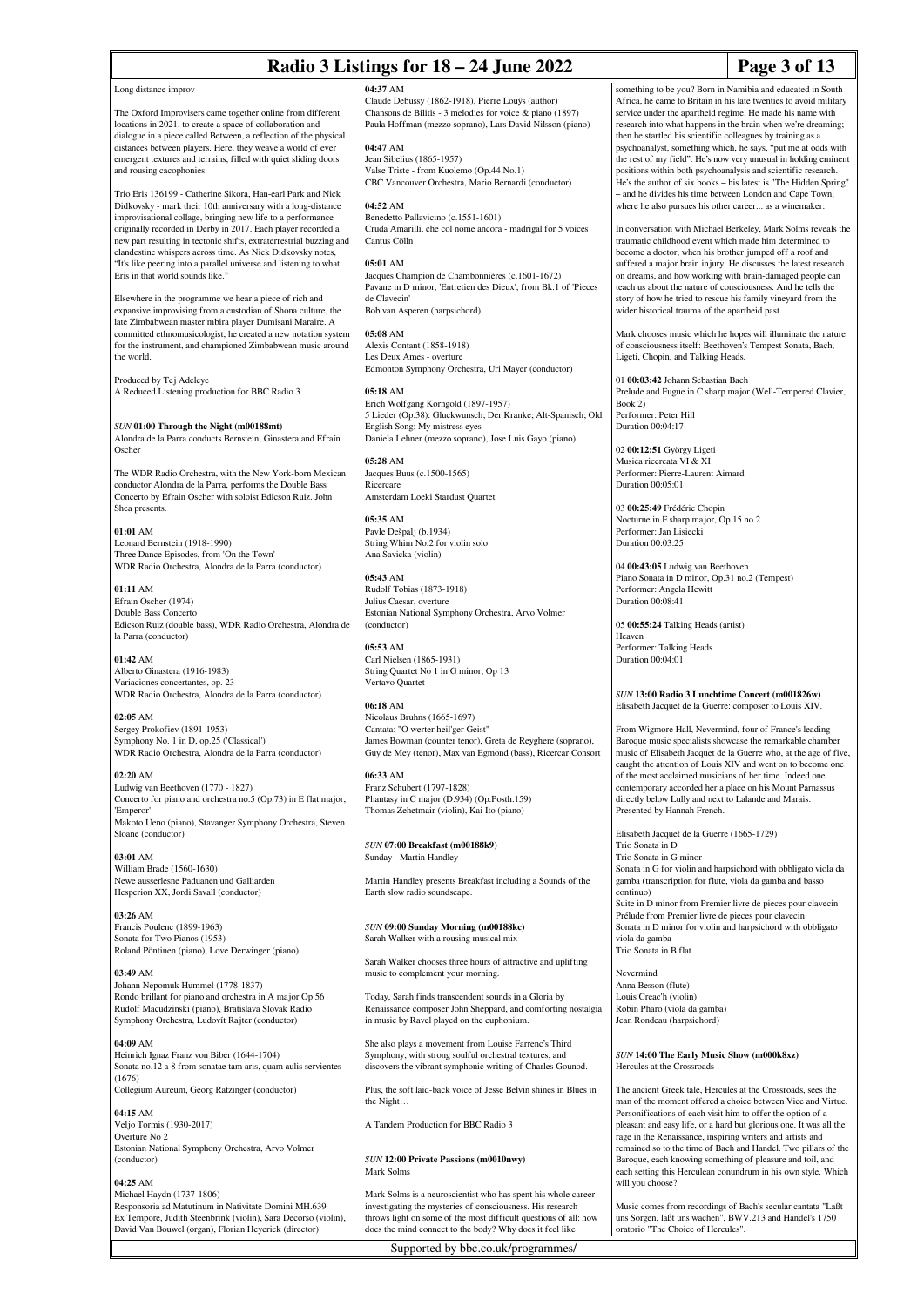## **Radio 3 Listings for 18 – 24 June 2022 Page 3 of 13**

### Long distance improv The Oxford Improvisers came together online from different locations in 2021, to create a space of collaboration and dialogue in a piece called Between, a reflection of the physical distances between players. Here, they weave a world of ever emergent textures and terrains, filled with quiet sliding doors and rousing cacophonies. Trio Eris 136199 - Catherine Sikora, Han-earl Park and Nick Didkovsky - mark their 10th anniversary with a long-distance improvisational collage, bringing new life to a performance originally recorded in Derby in 2017. Each player recorded a new part resulting in tectonic shifts, extraterrestrial buzzing and clandestine whispers across time. As Nick Didkovsky notes, "It's like peering into a parallel universe and listening to what Eris in that world sounds like." Elsewhere in the programme we hear a piece of rich and expansive improvising from a custodian of Shona culture, the late Zimbabwean master mbira player Dumisani Maraire. A committed ethnomusicologist, he created a new notation system for the instrument, and championed Zimbabwean music around Produced by Tej Adeleye A Reduced Listening production for BBC Radio 3 *SUN* **01:00 Through the Night (m00188mt)** Alondra de la Parra conducts Bernstein, Ginastera and Efraín **04:37** AM Claude Debussy (1862-1918), Pierre Louÿs (author) Chansons de Bilitis - 3 melodies for voice & piano (1897) Paula Hoffman (mezzo soprano), Lars David Nilsson (piano) **04:47** AM Jean Sibelius (1865-1957) Valse Triste - from Kuolemo (Op.44 No.1) CBC Vancouver Orchestra, Mario Bernardi (conductor) **04:52** AM Benedetto Pallavicino (c.1551-1601) Cruda Amarilli, che col nome ancora - madrigal for 5 voices Cantus Cölln **05:01** AM Jacques Champion de Chambonnières (c.1601-1672) Pavane in D minor, 'Entretien des Dieux', from Bk.1 of 'Pieces de Clavecin' Bob van Asperen (harpsichord) **05:08** AM Alexis Contant (1858-1918) Les Deux Ames - overture Edmonton Symphony Orchestra, Uri Mayer (conductor) **05:18** AM Erich Wolfgang Korngold (1897-1957) 5 Lieder (Op.38): Gluckwunsch; Der Kranke; Alt-Spanisch; Old English Song; My mistress eyes Daniela Lehner (mezzo soprano), Jose Luis Gayo (piano) **05:28** AM Jacques Buus (c.1500-1565) Ligeti, Chopin, and Talking Heads. 01 **00:03:42** Johann Sebastian Bach Book 2) Performer: Peter Hill Duration 00:04:17 02 **00:12:51** György Ligeti Musica ricercata VI & XI

The WDR Radio Orchestra, with the New York-born Mexican conductor Alondra de la Parra, performs the Double Bass Concerto by Efrain Oscher with soloist Edicson Ruiz. John Shea presents.

**01:01** AM Leonard Bernstein (1918-1990) Three Dance Episodes, from 'On the Town' WDR Radio Orchestra, Alondra de la Parra (conductor)

**01:11** AM Efrain Oscher (1974) Double Bass Concerto Edicson Ruiz (double bass), WDR Radio Orchestra, Alondra de la Parra (conductor)

## **01:42** AM

the world.

Oscher

Alberto Ginastera (1916-1983) Variaciones concertantes, op. 23 WDR Radio Orchestra, Alondra de la Parra (conductor)

**02:05** AM Sergey Prokofiev (1891-1953) Symphony No. 1 in D, op.25 ('Classical') WDR Radio Orchestra, Alondra de la Parra (conductor)

**02:20** AM Ludwig van Beethoven (1770 - 1827) Concerto for piano and orchestra no.5 (Op.73) in E flat major, 'Emperor' Makoto Ueno (piano), Stavanger Symphony Orchestra, Steven Sloane (conductor)

**03:01** AM William Brade (1560-1630) Newe ausserlesne Paduanen und Galliarden Hesperion XX, Jordi Savall (conductor)

**03:26** AM Francis Poulenc (1899-1963) Sonata for Two Pianos (1953) Roland Pöntinen (piano), Love Derwinger (piano)

**03:49** AM Johann Nepomuk Hummel (1778-1837) Rondo brillant for piano and orchestra in A major Op 56 Rudolf Macudzinski (piano), Bratislava Slovak Radio Symphony Orchestra, Ludovít Rajter (conductor)

**04:09** AM Heinrich Ignaz Franz von Biber (1644-1704) Sonata no.12 a 8 from sonatae tam aris, quam aulis servientes (1676) Collegium Aureum, Georg Ratzinger (conductor)

**04:15** AM Veljo Tormis (1930-2017) Overture No 2 Estonian National Symphony Orchestra, Arvo Volmer (conductor)

**04:25** AM Michael Haydn (1737-1806) Responsoria ad Matutinum in Nativitate Domini MH.639 Ex Tempore, Judith Steenbrink (violin), Sara Decorso (violin), David Van Bouwel (organ), Florian Heyerick (director)

**05:35** AM Pavle Dešpalj (b.1934) String Whim No.2 for violin solo Ana Savicka (violin)

Amsterdam Loeki Stardust Quartet

Ricercare

**05:43** AM Rudolf Tobias (1873-1918) Julius Caesar, overture Estonian National Symphony Orchestra, Arvo Volmer (conductor)

**05:53** AM Carl Nielsen (1865-1931) String Quartet No 1 in G minor, Op 13 Vertavo Quartet

**06:18** AM Nicolaus Bruhns (1665-1697) Cantata: "O werter heil'ger Geist" James Bowman (counter tenor), Greta de Reyghere (soprano), Guy de Mey (tenor), Max van Egmond (bass), Ricercar Consort

**06:33** AM Franz Schubert (1797-1828) Phantasy in C major (D.934) (Op.Posth.159) Thomas Zehetmair (violin), Kai Ito (piano)

*SUN* **07:00 Breakfast (m00188k9)** Sunday - Martin Handley

Martin Handley presents Breakfast including a Sounds of the Earth slow radio soundscape.

*SUN* **09:00 Sunday Morning (m00188kc)** Sarah Walker with a rousing musical mix

Sarah Walker chooses three hours of attractive and uplifting music to complement your morning.

Today, Sarah finds transcendent sounds in a Gloria by Renaissance composer John Sheppard, and comforting nostalgia in music by Ravel played on the euphonium.

She also plays a movement from Louise Farrenc's Third Symphony, with strong soulful orchestral textures, and discovers the vibrant symphonic writing of Charles Gounod.

Plus, the soft laid-back voice of Jesse Belvin shines in Blues in the Night…

A Tandem Production for BBC Radio 3

*SUN* **12:00 Private Passions (m0010nwy)** Mark Solms

Mark Solms is a neuroscientist who has spent his whole career investigating the mysteries of consciousness. His research throws light on some of the most difficult questions of all: h does the mind connect to the body? Why does it feel like

Supported by bbc.co.uk/programmes/

something to be you? Born in Namibia and educated in South Africa, he came to Britain in his late twenties to avoid military service under the apartheid regime. He made his name with research into what happens in the brain when we're dreaming; then he startled his scientific colleagues by training as a psychoanalyst, something which, he says, "put me at odds with the rest of my field". He's now very unusual in holding eminent positions within both psychoanalysis and scientific research. He's the author of six books – his latest is "The Hidden Spring" – and he divides his time between London and Cape Town, where he also pursues his other career... as a winemaker.

In conversation with Michael Berkeley, Mark Solms reveals the traumatic childhood event which made him determined to become a doctor, when his brother jumped off a roof and suffered a major brain injury. He discusses the latest research on dreams, and how working with brain-damaged people can teach us about the nature of consciousness. And he tells the story of how he tried to rescue his family vineyard from the wider historical trauma of the apartheid past.

Mark chooses music which he hopes will illuminate the nature of consciousness itself: Beethoven's Tempest Sonata, Bach,

Prelude and Fugue in C sharp major (Well-Tempered Clavier,

Performer: Pierre‐Laurent Aimard Duration 00:05:01

03 **00:25:49** Frédéric Chopin Nocturne in F sharp major, Op.15 no.2 Performer: Jan Lisiecki Duration 00:03:25

04 **00:43:05** Ludwig van Beethoven Piano Sonata in D minor, Op.31 no.2 (Tempest) Performer: Angela Hewitt Duration 00:08:41

05 **00:55:24** Talking Heads (artist) Heaven Performer: Talking Heads Duration 00:04:01

*SUN* **13:00 Radio 3 Lunchtime Concert (m001826w)** Elisabeth Jacquet de la Guerre: composer to Louis XIV.

From Wigmore Hall, Nevermind, four of France's leading Baroque music specialists showcase the remarkable chamber music of Elisabeth Jacquet de la Guerre who, at the age of five, caught the attention of Louis XIV and went on to become or of the most acclaimed musicians of her time. Indeed one contemporary accorded her a place on his Mount Parnassus directly below Lully and next to Lalande and Marais. Presented by Hannah French.

Elisabeth Jacquet de la Guerre (1665-1729) Trio Sonata in D Trio Sonata in G minor Sonata in G for violin and harpsichord with obbligato viola da gamba (transcription for flute, viola da gamba and basso continuo) Suite in D minor from Premier livre de pieces pour clavecin

Prélude from Premier livre de pieces pour clavecin Sonata in D minor for violin and harpsichord with obbligato viola da gamba Trio Sonata in B flat

Nevermind Anna Besson (flute) Louis Creac'h (violin) Robin Pharo (viola da gamba) Jean Rondeau (harpsichord)

*SUN* **14:00 The Early Music Show (m000k8xz)** Hercules at the Crossroads

The ancient Greek tale, Hercules at the Crossroads, sees the man of the moment offered a choice between Vice and Virtue. Personifications of each visit him to offer the option of a pleasant and easy life, or a hard but glorious one. It was all the rage in the Renaissance, inspiring writers and artists and remained so to the time of Bach and Handel. Two pillars of the Baroque, each knowing something of pleasure and toil, and each setting this Herculean conundrum in his own style. Which will you choose?

Music comes from recordings of Bach's secular cantata "Laßt uns Sorgen, laßt uns wachen", BWV.213 and Handel's 1750 oratorio "The Choice of Hercules".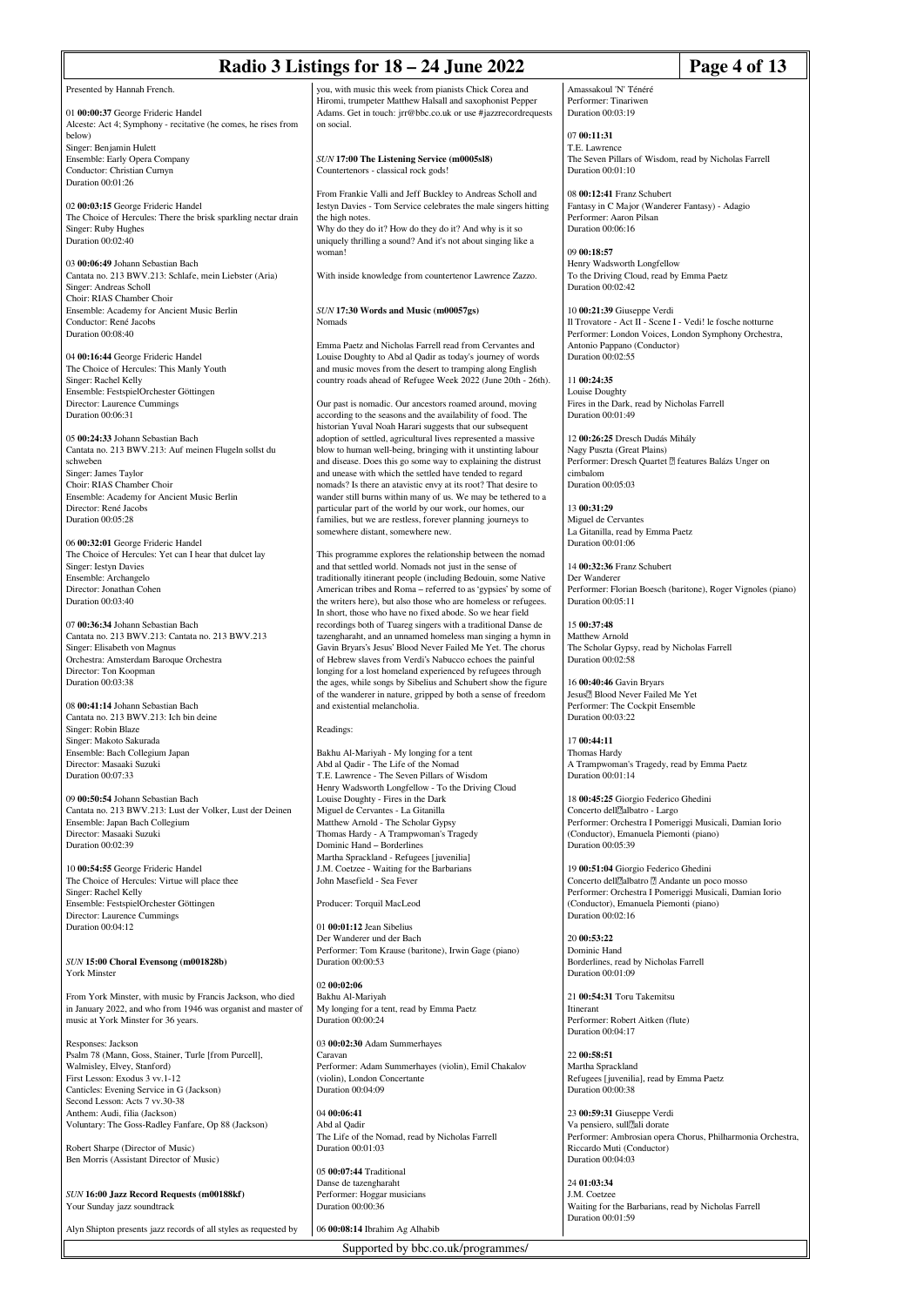| Radio 3 Listings for 18 – 24 June 2022<br>Page 4 of 13                                               |                                                                                                                                   |                                                                                                                                  |
|------------------------------------------------------------------------------------------------------|-----------------------------------------------------------------------------------------------------------------------------------|----------------------------------------------------------------------------------------------------------------------------------|
| Presented by Hannah French.                                                                          | you, with music this week from pianists Chick Corea and                                                                           | Amassakoul 'N' Ténéré                                                                                                            |
| 01 00:00:37 George Frideric Handel                                                                   | Hiromi, trumpeter Matthew Halsall and saxophonist Pepper<br>Adams. Get in touch: jrr@bbc.co.uk or use #jazzrecordrequests         | Performer: Tinariwen<br>Duration 00:03:19                                                                                        |
| Alceste: Act 4; Symphony - recitative (he comes, he rises from<br>below)                             | on social.                                                                                                                        | 07 00:11:31                                                                                                                      |
| Singer: Benjamin Hulett<br>Ensemble: Early Opera Company                                             | SUN 17:00 The Listening Service (m0005sl8)                                                                                        | T.E. Lawrence<br>The Seven Pillars of Wisdom, read by Nicholas Farrell                                                           |
| Conductor: Christian Curnyn                                                                          | Countertenors - classical rock gods!                                                                                              | Duration 00:01:10                                                                                                                |
| Duration 00:01:26                                                                                    | From Frankie Valli and Jeff Buckley to Andreas Scholl and                                                                         | 08 00:12:41 Franz Schubert                                                                                                       |
| 02 00:03:15 George Frideric Handel<br>The Choice of Hercules: There the brisk sparkling nectar drain | Iestyn Davies - Tom Service celebrates the male singers hitting<br>the high notes.                                                | Fantasy in C Major (Wanderer Fantasy) - Adagio<br>Performer: Aaron Pilsan                                                        |
| Singer: Ruby Hughes<br>Duration 00:02:40                                                             | Why do they do it? How do they do it? And why is it so<br>uniquely thrilling a sound? And it's not about singing like a           | Duration 00:06:16                                                                                                                |
|                                                                                                      | woman!                                                                                                                            | 09 00:18:57                                                                                                                      |
| 03 00:06:49 Johann Sebastian Bach<br>Cantata no. 213 BWV.213: Schlafe, mein Liebster (Aria)          | With inside knowledge from countertenor Lawrence Zazzo.                                                                           | Henry Wadsworth Longfellow<br>To the Driving Cloud, read by Emma Paetz                                                           |
| Singer: Andreas Scholl<br>Choir: RIAS Chamber Choir                                                  |                                                                                                                                   | Duration 00:02:42                                                                                                                |
| Ensemble: Academy for Ancient Music Berlin<br>Conductor: René Jacobs                                 | SUN 17:30 Words and Music (m00057gs)<br>Nomads                                                                                    | 10 00:21:39 Giuseppe Verdi<br>Il Trovatore - Act II - Scene I - Vedi! le fosche notturne                                         |
| Duration 00:08:40                                                                                    |                                                                                                                                   | Performer: London Voices, London Symphony Orchestra,                                                                             |
| 04 00:16:44 George Frideric Handel                                                                   | Emma Paetz and Nicholas Farrell read from Cervantes and<br>Louise Doughty to Abd al Qadir as today's journey of words             | Antonio Pappano (Conductor)<br>Duration 00:02:55                                                                                 |
| The Choice of Hercules: This Manly Youth<br>Singer: Rachel Kelly                                     | and music moves from the desert to tramping along English<br>country roads ahead of Refugee Week 2022 (June 20th - 26th).         | 11 00:24:35                                                                                                                      |
| Ensemble: FestspielOrchester Göttingen<br>Director: Laurence Cummings                                | Our past is nomadic. Our ancestors roamed around, moving                                                                          | Louise Doughty<br>Fires in the Dark, read by Nicholas Farrell                                                                    |
| Duration 00:06:31                                                                                    | according to the seasons and the availability of food. The                                                                        | Duration 00:01:49                                                                                                                |
| 05 00:24:33 Johann Sebastian Bach                                                                    | historian Yuval Noah Harari suggests that our subsequent<br>adoption of settled, agricultural lives represented a massive         | 12 00:26:25 Dresch Dudás Mihály                                                                                                  |
| Cantata no. 213 BWV.213: Auf meinen Flugeln sollst du<br>schweben                                    | blow to human well-being, bringing with it unstinting labour<br>and disease. Does this go some way to explaining the distrust     | Nagy Puszta (Great Plains)<br>Performer: Dresch Quartet <sup>7</sup> features Balázs Unger on                                    |
| Singer: James Taylor<br>Choir: RIAS Chamber Choir                                                    | and unease with which the settled have tended to regard<br>nomads? Is there an atavistic envy at its root? That desire to         | cimbalom<br>Duration 00:05:03                                                                                                    |
| Ensemble: Academy for Ancient Music Berlin                                                           | wander still burns within many of us. We may be tethered to a                                                                     |                                                                                                                                  |
| Director: René Jacobs<br>Duration 00:05:28                                                           | particular part of the world by our work, our homes, our<br>families, but we are restless, forever planning journeys to           | 13 00:31:29<br>Miguel de Cervantes                                                                                               |
| 06 00:32:01 George Frideric Handel                                                                   | somewhere distant, somewhere new.                                                                                                 | La Gitanilla, read by Emma Paetz<br>Duration 00:01:06                                                                            |
| The Choice of Hercules: Yet can I hear that dulcet lay<br>Singer: Iestyn Davies                      | This programme explores the relationship between the nomad<br>and that settled world. Nomads not just in the sense of             | 14 00:32:36 Franz Schubert                                                                                                       |
| Ensemble: Archangelo                                                                                 | traditionally itinerant people (including Bedouin, some Native                                                                    | Der Wanderer                                                                                                                     |
| Director: Jonathan Cohen<br>Duration 00:03:40                                                        | American tribes and Roma - referred to as 'gypsies' by some of<br>the writers here), but also those who are homeless or refugees. | Performer: Florian Boesch (baritone), Roger Vignoles (piano)<br>Duration 00:05:11                                                |
| 07 00:36:34 Johann Sebastian Bach                                                                    | In short, those who have no fixed abode. So we hear field<br>recordings both of Tuareg singers with a traditional Danse de        | 15 00:37:48                                                                                                                      |
| Cantata no. 213 BWV.213: Cantata no. 213 BWV.213<br>Singer: Elisabeth von Magnus                     | tazengharaht, and an unnamed homeless man singing a hymn in<br>Gavin Bryars's Jesus' Blood Never Failed Me Yet. The chorus        | Matthew Arnold<br>The Scholar Gypsy, read by Nicholas Farrell                                                                    |
| Orchestra: Amsterdam Baroque Orchestra                                                               | of Hebrew slaves from Verdi's Nabucco echoes the painful                                                                          | Duration 00:02:58                                                                                                                |
| Director: Ton Koopman<br>Duration 00:03:38                                                           | longing for a lost homeland experienced by refugees through<br>the ages, while songs by Sibelius and Schubert show the figure     | 16 00:40:46 Gavin Bryars                                                                                                         |
| 08 00:41:14 Johann Sebastian Bach                                                                    | of the wanderer in nature, gripped by both a sense of freedom<br>and existential melancholia.                                     | Jesus <sup>[7]</sup> Blood Never Failed Me Yet<br>Performer: The Cockpit Ensemble                                                |
| Cantata no. 213 BWV.213: Ich bin deine<br>Singer: Robin Blaze                                        | Readings:                                                                                                                         | Duration 00:03:22                                                                                                                |
| Singer: Makoto Sakurada                                                                              |                                                                                                                                   | 17 00:44:11                                                                                                                      |
| Ensemble: Bach Collegium Japan<br>Director: Masaaki Suzuki                                           | Bakhu Al-Mariyah - My longing for a tent<br>Abd al Qadir - The Life of the Nomad                                                  | Thomas Hardy<br>A Trampwoman's Tragedy, read by Emma Paetz                                                                       |
| Duration 00:07:33                                                                                    | T.E. Lawrence - The Seven Pillars of Wisdom<br>Henry Wadsworth Longfellow - To the Driving Cloud                                  | Duration 00:01:14                                                                                                                |
| 09 00:50:54 Johann Sebastian Bach<br>Cantata no. 213 BWV.213: Lust der Volker, Lust der Deinen       | Louise Doughty - Fires in the Dark<br>Miguel de Cervantes - La Gitanilla                                                          | 18 00:45:25 Giorgio Federico Ghedini<br>Concerto dell <sup>o</sup> albatro - Largo                                               |
| Ensemble: Japan Bach Collegium<br>Director: Masaaki Suzuki                                           | Matthew Arnold - The Scholar Gypsy                                                                                                | Performer: Orchestra I Pomeriggi Musicali, Damian Iorio                                                                          |
| Duration 00:02:39                                                                                    | Thomas Hardy - A Trampwoman's Tragedy<br>Dominic Hand - Borderlines                                                               | (Conductor), Emanuela Piemonti (piano)<br>Duration 00:05:39                                                                      |
| 10 00:54:55 George Frideric Handel                                                                   | Martha Sprackland - Refugees [juvenilia]<br>J.M. Coetzee - Waiting for the Barbarians                                             | 19 00:51:04 Giorgio Federico Ghedini                                                                                             |
| The Choice of Hercules: Virtue will place thee<br>Singer: Rachel Kelly                               | John Masefield - Sea Fever                                                                                                        | Concerto dell <sup>o</sup> albatro <sup>7</sup> Andante un poco mosso<br>Performer: Orchestra I Pomeriggi Musicali, Damian Iorio |
| Ensemble: FestspielOrchester Göttingen<br>Director: Laurence Cummings                                | Producer: Torquil MacLeod                                                                                                         | (Conductor), Emanuela Piemonti (piano)<br>Duration 00:02:16                                                                      |
| Duration 00:04:12                                                                                    | 01 00:01:12 Jean Sibelius                                                                                                         |                                                                                                                                  |
|                                                                                                      | Der Wanderer und der Bach<br>Performer: Tom Krause (baritone), Irwin Gage (piano)                                                 | 20 00:53:22<br>Dominic Hand                                                                                                      |
| SUN 15:00 Choral Evensong (m001828b)<br>York Minster                                                 | Duration 00:00:53                                                                                                                 | Borderlines, read by Nicholas Farrell<br>Duration 00:01:09                                                                       |
| From York Minster, with music by Francis Jackson, who died                                           | 02 00:02:06<br>Bakhu Al-Mariyah                                                                                                   | 21 00:54:31 Toru Takemitsu                                                                                                       |
| in January 2022, and who from 1946 was organist and master of                                        | My longing for a tent, read by Emma Paetz                                                                                         | Itinerant                                                                                                                        |
| music at York Minster for 36 years.                                                                  | Duration 00:00:24                                                                                                                 | Performer: Robert Aitken (flute)<br>Duration 00:04:17                                                                            |
| Responses: Jackson<br>Psalm 78 (Mann, Goss, Stainer, Turle [from Purcell],                           | 03 00:02:30 Adam Summerhayes<br>Caravan                                                                                           | 22 00:58:51                                                                                                                      |
| Walmisley, Elvey, Stanford)<br>First Lesson: Exodus 3 vv.1-12                                        | Performer: Adam Summerhayes (violin), Emil Chakalov<br>(violin), London Concertante                                               | Martha Sprackland<br>Refugees [juvenilia], read by Emma Paetz                                                                    |
| Canticles: Evening Service in G (Jackson)                                                            | Duration 00:04:09                                                                                                                 | Duration 00:00:38                                                                                                                |
| Second Lesson: Acts 7 vv.30-38<br>Anthem: Audi, filia (Jackson)                                      | 04 00:06:41                                                                                                                       | 23 00:59:31 Giuseppe Verdi                                                                                                       |
| Voluntary: The Goss-Radley Fanfare, Op 88 (Jackson)                                                  | Abd al Qadir<br>The Life of the Nomad, read by Nicholas Farrell                                                                   | Va pensiero, sullali dorate<br>Performer: Ambrosian opera Chorus, Philharmonia Orchestra,                                        |
| Robert Sharpe (Director of Music)<br>Ben Morris (Assistant Director of Music)                        | Duration 00:01:03                                                                                                                 | Riccardo Muti (Conductor)<br>Duration 00:04:03                                                                                   |
|                                                                                                      | 05 00:07:44 Traditional<br>Danse de tazengharaht                                                                                  | 24 01:03:34                                                                                                                      |
| SUN 16:00 Jazz Record Requests (m00188kf)                                                            | Performer: Hoggar musicians                                                                                                       | J.M. Coetzee                                                                                                                     |
| Your Sunday jazz soundtrack                                                                          | Duration 00:00:36                                                                                                                 | Waiting for the Barbarians, read by Nicholas Farrell<br>Duration 00:01:59                                                        |
| Alyn Shipton presents jazz records of all styles as requested by                                     | 06 00:08:14 Ibrahim Ag Alhabib                                                                                                    |                                                                                                                                  |

Supported by bbc.co.uk/programmes/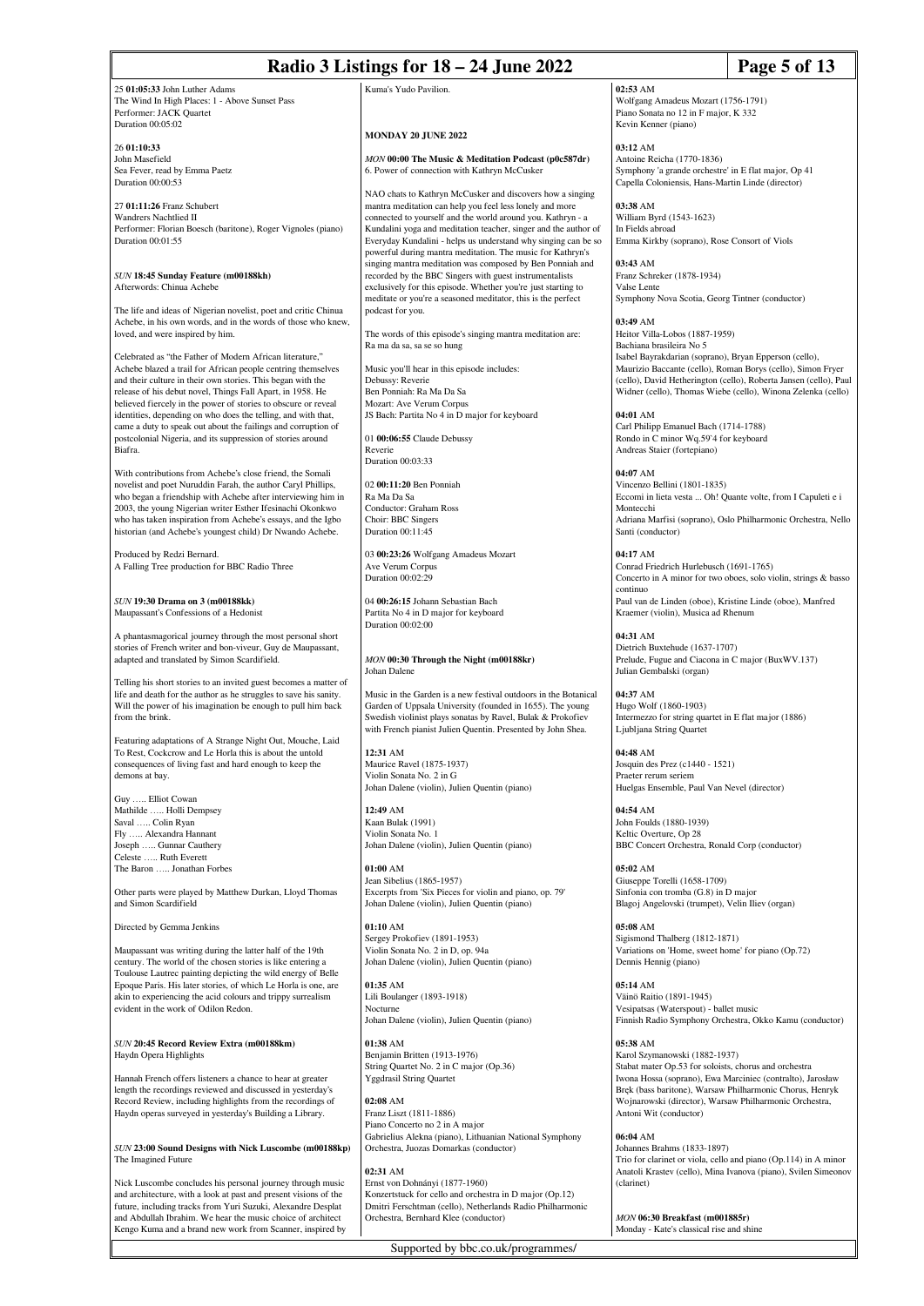## **Radio 3 Listings for 18 – 24 June 2022 Page 5 of 13**

25 **01:05:33** John Luther Adams The Wind In High Places: 1 - Above Sunset Pass Performer: JACK Quartet Duration 00:05:02

26 **01:10:33** John Masefield Sea Fever, read by Emma Paetz Duration 00:00:53

27 **01:11:26** Franz Schubert Wandrers Nachtlied II Performer: Florian Boesch (baritone), Roger Vignoles (piano) Duration 00:01:55

*SUN* **18:45 Sunday Feature (m00188kh)** Afterwords: Chinua Achebe

The life and ideas of Nigerian novelist, poet and critic Chinua Achebe, in his own words, and in the words of those who knew, loved, and were inspired by him.

Celebrated as "the Father of Modern African literature," Achebe blazed a trail for African people centring themselves and their culture in their own stories. This began with the release of his debut novel, Things Fall Apart, in 1958. He believed fiercely in the power of stories to obscure or reveal identities, depending on who does the telling, and with that, came a duty to speak out about the failings and corruption of postcolonial Nigeria, and its suppression of stories around Biafra.

With contributions from Achebe's close friend, the Somali novelist and poet Nuruddin Farah, the author Caryl Phillips, who began a friendship with Achebe after interviewing him in 2003, the young Nigerian writer Esther Ifesinachi Okonkwo who has taken inspiration from Achebe's essays, and the Igbo historian (and Achebe's youngest child) Dr Nwando Achebe.

Produced by Redzi Bernard. A Falling Tree production for BBC Radio Three

*SUN* **19:30 Drama on 3 (m00188kk)** Maupassant's Confessions of a Hedonist

A phantasmagorical journey through the most personal short stories of French writer and bon-viveur, Guy de Maupassant, adapted and translated by Simon Scardifield.

Telling his short stories to an invited guest becomes a matter of life and death for the author as he struggles to save his sanity. Will the power of his imagination be enough to pull him back from the brink.

Featuring adaptations of A Strange Night Out, Mouche, Laid To Rest, Cockcrow and Le Horla this is about the untold consequences of living fast and hard enough to keep the demons at bay.

Guy ….. Elliot Cowan Mathilde ..... Holli Dempsey Saval ..... Colin Ryan Fly ….. Alexandra Hannant Joseph ….. Gunnar Cauthery Celeste ….. Ruth Everett The Baron — Lonathan Forbes

Other parts were played by Matthew Durkan, Lloyd Thomas and Simon Scardifield

Directed by Gemma Jenkins

Maupassant was writing during the latter half of the 19th century. The world of the chosen stories is like entering a Toulouse Lautrec painting depicting the wild energy of Belle Epoque Paris. His later stories, of which Le Horla is one, are akin to experiencing the acid colours and trippy surrealism evident in the work of Odilon Redon.

### *SUN* **20:45 Record Review Extra (m00188km)** Haydn Opera Highlights

Hannah French offers listeners a chance to hear at greater length the recordings reviewed and discussed in yesterday's Record Review, including highlights from the recordings of Haydn operas surveyed in yesterday's Building a Library.

*SUN* **23:00 Sound Designs with Nick Luscombe (m00188kp)** The Imagined Future

Nick Luscombe concludes his personal journey through music and architecture, with a look at past and present visions of the future, including tracks from Yuri Suzuki, Alexandre Desplat and Abdullah Ibrahim. We hear the music choice of architect Kengo Kuma and a brand new work from Scanner, inspired by Kuma's Yudo Pavilion.

**MONDAY 20 JUNE 2022**

*MON* **00:00 The Music & Meditation Podcast (p0c587dr)** 6. Power of connection with Kathryn McCusker

NAO chats to Kathryn McCusker and discovers how a singing mantra meditation can help you feel less lonely and more connected to yourself and the world around you. Kathryn - a Kundalini yoga and meditation teacher, singer and the author of Everyday Kundalini - helps us understand why singing can be so powerful during mantra meditation. The music for Kathryn's singing mantra meditation was composed by Ben Ponniah and recorded by the BBC Singers with guest instrumentalists exclusively for this episode. Whether you're just starting to meditate or you're a seasoned meditator, this is the perfect podcast for you.

The words of this episode's singing mantra meditation are: Ra ma da sa, sa se so hung

Music you'll hear in this episode includes: Debussy: Reverie Ben Ponniah: Ra Ma Da Sa Mozart: Ave Verum Corpus JS Bach: Partita No 4 in D major for keyboard

01 **00:06:55** Claude Debussy Reverie Duration 00:03:33

02 **00:11:20** Ben Ponniah Ra Ma Da Sa Conductor: Graham Ross Choir: BBC Singers Duration 00:11:45

03 **00:23:26** Wolfgang Amadeus Mozart Ave Verum Corpus Duration 00:02:29

04 **00:26:15** Johann Sebastian Bach Partita No 4 in D major for keyboard Duration 00:02:00

*MON* **00:30 Through the Night (m00188kr)** Johan Dalene

Music in the Garden is a new festival outdoors in the Botanical Garden of Uppsala University (founded in 1655). The young Swedish violinist plays sonatas by Ravel, Bulak & Prokofiev with French pianist Julien Quentin. Presented by John Shea.

**12:31** AM Maurice Ravel (1875-1937) Violin Sonata No. 2 in G Johan Dalene (violin), Julien Quentin (piano)

**12:49** AM Kaan Bulak (1991) Violin Sonata No. 1 Johan Dalene (violin), Julien Quentin (piano)

**01:00** AM Jean Sibelius (1865-1957) Excerpts from 'Six Pieces for violin and piano, op. 79' Johan Dalene (violin), Julien Quentin (piano)

**01:10** AM Sergey Prokofiev (1891-1953) Violin Sonata No. 2 in D, op. 94a Johan Dalene (violin), Julien Quentin (piano)

**01:35** AM Lili Boulanger (1893-1918) Nocturne Johan Dalene (violin), Julien Quentin (piano)

**01:38** AM Benjamin Britten (1913-1976) String Quartet No. 2 in C major (Op.36) Yggdrasil String Quartet

**02:08** AM Franz Liszt (1811-1886) Piano Concerto no 2 in A major Gabrielius Alekna (piano), Lithuanian National Symphony Orchestra, Juozas Domarkas (conductor)

**02:31** AM Ernst von Dohnányi (1877-1960) Konzertstuck for cello and orchestra in D major (Op.12) Dmitri Ferschtman (cello), Netherlands Radio Philharmonic Orchestra, Bernhard Klee (conductor)

Supported by bbc.co.uk/programmes/

**02:53** AM Wolfgang Amadeus Mozart (1756-1791) Piano Sonata no 12 in F major, K 332 Kevin Kenner (piano)

**03:12** AM Antoine Reicha (1770-1836) Symphony 'a grande orchestre' in E flat major, Op 41 Capella Coloniensis, Hans-Martin Linde (director)

**03:38** AM William Byrd (1543-1623) In Fields abroad Emma Kirkby (soprano), Rose Consort of Viols

**03:43** AM Franz Schreker (1878-1934) Valse Lente Symphony Nova Scotia, Georg Tintner (conductor)

**03:49** AM Heitor Villa-Lobos (1887-1959) Bachiana brasileira No 5 Isabel Bayrakdarian (soprano), Bryan Epperson (cello), Maurizio Baccante (cello), Roman Borys (cello), Simon Fryer (cello), David Hetherington (cello), Roberta Jansen (cello), Paul Widner (cello), Thomas Wiebe (cello), Winona Zelenka (cello)

**04:01** AM Carl Philipp Emanuel Bach (1714-1788) Rondo in C minor Wq.59`4 for keyboard Andreas Staier (fortepiano)

**04:07** AM Vincenzo Bellini (1801-1835) Eccomi in lieta vesta ... Oh! Quante volte, from I Capuleti e i Montecchi Adriana Marfisi (soprano), Oslo Philharmonic Orchestra, Nello Santi (conductor)

**04:17** AM Conrad Friedrich Hurlebusch (1691-1765) Concerto in A minor for two oboes, solo violin, strings & basso continuo Paul van de Linden (oboe), Kristine Linde (oboe), Manfred Kraemer (violin), Musica ad Rhenum

**04:31** AM Dietrich Buxtehude (1637-1707) Prelude, Fugue and Ciacona in C major (BuxWV.137) Julian Gembalski (organ)

**04:37** AM Hugo Wolf (1860-1903) Intermezzo for string quartet in E flat major (1886) Ljubljana String Quartet

**04:48** AM Josquin des Prez (c1440 - 1521) Praeter rerum seriem Huelgas Ensemble, Paul Van Nevel (director)

**04:54** AM John Foulds (1880-1939) Keltic Overture, Op 28 BBC Concert Orchestra, Ronald Corp (conductor)

**05:02** AM Giuseppe Torelli (1658-1709) Sinfonia con tromba (G.8) in D major Blagoj Angelovski (trumpet), Velin Iliev (organ)

**05:08** AM Sigismond Thalberg (1812-1871) Variations on 'Home, sweet home' for piano (Op.72) Dennis Hennig (piano)

**05:14** AM Väinö Raitio (1891-1945) Vesipatsas (Waterspout) - ballet music Finnish Radio Symphony Orchestra, Okko Kamu (conductor)

**05:38** AM Karol Szymanowski (1882-1937) Stabat mater Op.53 for soloists, chorus and orchestra Iwona Hossa (soprano), Ewa Marciniec (contralto), Jarosław Bręk (bass baritone), Warsaw Philharmonic Chorus, Henryk Wojnarowski (director), Warsaw Philharmonic Orchestra, Antoni Wit (conductor)

**06:04** AM Johannes Brahms (1833-1897) Trio for clarinet or viola, cello and piano (Op.114) in A minor Anatoli Krastev (cello), Mina Ivanova (piano), Svilen Simeonov (clarinet)

*MON* **06:30 Breakfast (m001885r)** Monday - Kate's classical rise and shine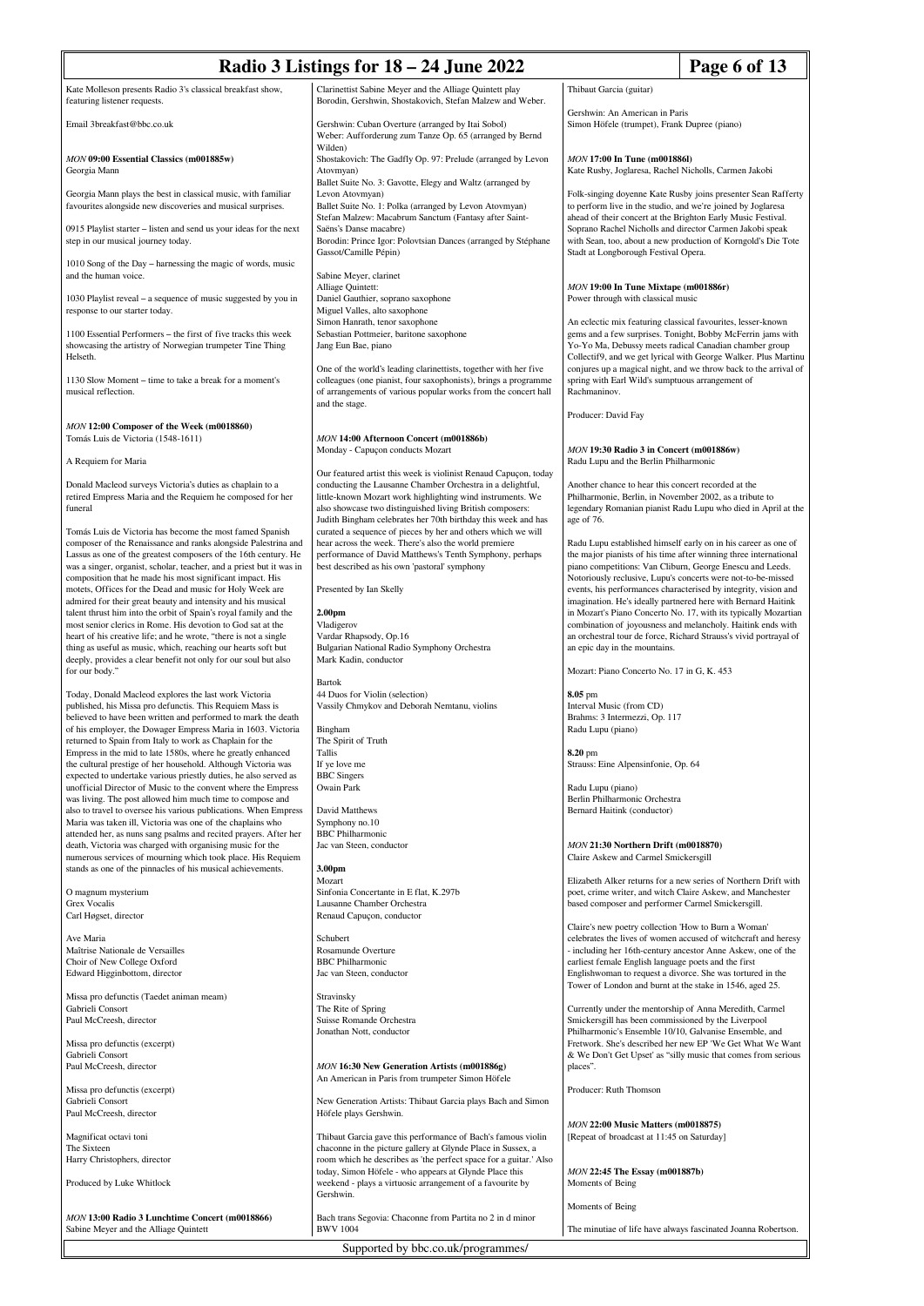|                                                                                                                                                                                                           | Radio 3 Listings for 18 - 24 June 2022                                                                                                                                                                                  | Page 6 of 13                                                                                                                                                                                                                                             |
|-----------------------------------------------------------------------------------------------------------------------------------------------------------------------------------------------------------|-------------------------------------------------------------------------------------------------------------------------------------------------------------------------------------------------------------------------|----------------------------------------------------------------------------------------------------------------------------------------------------------------------------------------------------------------------------------------------------------|
| Kate Molleson presents Radio 3's classical breakfast show,<br>featuring listener requests.                                                                                                                | Clarinettist Sabine Meyer and the Alliage Quintett play<br>Borodin, Gershwin, Shostakovich, Stefan Malzew and Weber.                                                                                                    | Thibaut Garcia (guitar)                                                                                                                                                                                                                                  |
| Email 3breakfast@bbc.co.uk                                                                                                                                                                                | Gershwin: Cuban Overture (arranged by Itai Sobol)<br>Weber: Aufforderung zum Tanze Op. 65 (arranged by Bernd                                                                                                            | Gershwin: An American in Paris<br>Simon Höfele (trumpet), Frank Dupree (piano)                                                                                                                                                                           |
| MON 09:00 Essential Classics (m001885w)<br>Georgia Mann                                                                                                                                                   | Wilden)<br>Shostakovich: The Gadfly Op. 97: Prelude (arranged by Levon<br>Atovmyan)                                                                                                                                     | MON 17:00 In Tune (m001886l)<br>Kate Rusby, Joglaresa, Rachel Nicholls, Carmen Jakobi                                                                                                                                                                    |
| Georgia Mann plays the best in classical music, with familiar<br>favourites alongside new discoveries and musical surprises.                                                                              | Ballet Suite No. 3: Gavotte, Elegy and Waltz (arranged by<br>Levon Atovmyan)<br>Ballet Suite No. 1: Polka (arranged by Levon Atovmyan)                                                                                  | Folk-singing doyenne Kate Rusby joins presenter Sean Rafferty<br>to perform live in the studio, and we're joined by Joglaresa                                                                                                                            |
| 0915 Playlist starter - listen and send us your ideas for the next<br>step in our musical journey today.                                                                                                  | Stefan Malzew: Macabrum Sanctum (Fantasy after Saint-<br>Saëns's Danse macabre)<br>Borodin: Prince Igor: Polovtsian Dances (arranged by Stéphane<br>Gassot/Camille Pépin)                                               | ahead of their concert at the Brighton Early Music Festival.<br>Soprano Rachel Nicholls and director Carmen Jakobi speak<br>with Sean, too, about a new production of Korngold's Die Tote<br>Stadt at Longborough Festival Opera.                        |
| 1010 Song of the Day - harnessing the magic of words, music<br>and the human voice.                                                                                                                       | Sabine Meyer, clarinet                                                                                                                                                                                                  |                                                                                                                                                                                                                                                          |
| 1030 Playlist reveal - a sequence of music suggested by you in<br>response to our starter today.                                                                                                          | Alliage Quintett:<br>Daniel Gauthier, soprano saxophone<br>Miguel Valles, alto saxophone                                                                                                                                | MON 19:00 In Tune Mixtape (m001886r)<br>Power through with classical music                                                                                                                                                                               |
| 1100 Essential Performers – the first of five tracks this week<br>showcasing the artistry of Norwegian trumpeter Tine Thing<br>Helseth.                                                                   | Simon Hanrath, tenor saxophone<br>Sebastian Pottmeier, baritone saxophone<br>Jang Eun Bae, piano                                                                                                                        | An eclectic mix featuring classical favourites, lesser-known<br>gems and a few surprises. Tonight, Bobby McFerrin jams with<br>Yo-Yo Ma, Debussy meets radical Canadian chamber group<br>Collectif9, and we get lyrical with George Walker. Plus Martinu |
| 1130 Slow Moment - time to take a break for a moment's<br>musical reflection.                                                                                                                             | One of the world's leading clarinettists, together with her five<br>colleagues (one pianist, four saxophonists), brings a programme<br>of arrangements of various popular works from the concert hall<br>and the stage. | conjures up a magical night, and we throw back to the arrival of<br>spring with Earl Wild's sumptuous arrangement of<br>Rachmaninov.                                                                                                                     |
| MON 12:00 Composer of the Week (m0018860)                                                                                                                                                                 |                                                                                                                                                                                                                         | Producer: David Fay                                                                                                                                                                                                                                      |
| Tomás Luis de Victoria (1548-1611)<br>A Requiem for Maria                                                                                                                                                 | MON 14:00 Afternoon Concert (m001886b)<br>Monday - Capuçon conducts Mozart                                                                                                                                              | MON 19:30 Radio 3 in Concert (m001886w)<br>Radu Lupu and the Berlin Philharmonic                                                                                                                                                                         |
| Donald Macleod surveys Victoria's duties as chaplain to a<br>retired Empress Maria and the Requiem he composed for her                                                                                    | Our featured artist this week is violinist Renaud Capuçon, today<br>conducting the Lausanne Chamber Orchestra in a delightful,<br>little-known Mozart work highlighting wind instruments. We                            | Another chance to hear this concert recorded at the<br>Philharmonie, Berlin, in November 2002, as a tribute to                                                                                                                                           |
| funeral<br>Tomás Luis de Victoria has become the most famed Spanish                                                                                                                                       | also showcase two distinguished living British composers:<br>Judith Bingham celebrates her 70th birthday this week and has<br>curated a sequence of pieces by her and others which we will                              | legendary Romanian pianist Radu Lupu who died in April at the<br>age of 76.                                                                                                                                                                              |
| composer of the Renaissance and ranks alongside Palestrina and<br>Lassus as one of the greatest composers of the 16th century. He<br>was a singer, organist, scholar, teacher, and a priest but it was in | hear across the week. There's also the world premiere<br>performance of David Matthews's Tenth Symphony, perhaps<br>best described as his own 'pastoral' symphony                                                       | Radu Lupu established himself early on in his career as one of<br>the major pianists of his time after winning three international<br>piano competitions: Van Cliburn, George Enescu and Leeds.                                                          |
| composition that he made his most significant impact. His<br>motets, Offices for the Dead and music for Holy Week are<br>admired for their great beauty and intensity and his musical                     | Presented by Ian Skelly                                                                                                                                                                                                 | Notoriously reclusive, Lupu's concerts were not-to-be-missed<br>events, his performances characterised by integrity, vision and<br>imagination. He's ideally partnered here with Bernard Haitink                                                         |
| talent thrust him into the orbit of Spain's royal family and the<br>most senior clerics in Rome. His devotion to God sat at the<br>heart of his creative life; and he wrote, "there is not a single"      | 2.00 <sub>pm</sub><br>Vladigerov<br>Vardar Rhapsody, Op.16                                                                                                                                                              | in Mozart's Piano Concerto No. 17, with its typically Mozartian<br>combination of joyousness and melancholy. Haitink ends with<br>an orchestral tour de force, Richard Strauss's vivid portrayal of                                                      |
| thing as useful as music, which, reaching our hearts soft but<br>deeply, provides a clear benefit not only for our soul but also                                                                          | Bulgarian National Radio Symphony Orchestra<br>Mark Kadin, conductor                                                                                                                                                    | an epic day in the mountains.                                                                                                                                                                                                                            |
| for our body."                                                                                                                                                                                            | Bartok                                                                                                                                                                                                                  | Mozart: Piano Concerto No. 17 in G, K. 453                                                                                                                                                                                                               |
| Today, Donald Macleod explores the last work Victoria<br>published, his Missa pro defunctis. This Requiem Mass is                                                                                         | 44 Duos for Violin (selection)<br>Vassily Chmykov and Deborah Nemtanu, violins                                                                                                                                          | $8.05$ pm<br>Interval Music (from CD)                                                                                                                                                                                                                    |
| believed to have been written and performed to mark the death<br>of his employer, the Dowager Empress Maria in 1603. Victoria                                                                             | Bingham                                                                                                                                                                                                                 | Brahms: 3 Intermezzi, Op. 117<br>Radu Lupu (piano)                                                                                                                                                                                                       |
| returned to Spain from Italy to work as Chaplain for the<br>Empress in the mid to late 1580s, where he greatly enhanced                                                                                   | The Spirit of Truth<br>Tallis                                                                                                                                                                                           | 8.20 pm                                                                                                                                                                                                                                                  |
| the cultural prestige of her household. Although Victoria was<br>expected to undertake various priestly duties, he also served as                                                                         | If ye love me<br><b>BBC</b> Singers                                                                                                                                                                                     | Strauss: Eine Alpensinfonie, Op. 64                                                                                                                                                                                                                      |
| unofficial Director of Music to the convent where the Empress<br>was living. The post allowed him much time to compose and                                                                                | Owain Park                                                                                                                                                                                                              | Radu Lupu (piano)<br>Berlin Philharmonic Orchestra                                                                                                                                                                                                       |
| also to travel to oversee his various publications. When Empress<br>Maria was taken ill, Victoria was one of the chaplains who                                                                            | David Matthews<br>Symphony no.10                                                                                                                                                                                        | Bernard Haitink (conductor)                                                                                                                                                                                                                              |
| attended her, as nuns sang psalms and recited prayers. After her<br>death, Victoria was charged with organising music for the                                                                             | <b>BBC</b> Philharmonic<br>Jac van Steen, conductor                                                                                                                                                                     | MON 21:30 Northern Drift (m0018870)                                                                                                                                                                                                                      |
| numerous services of mourning which took place. His Requiem<br>stands as one of the pinnacles of his musical achievements.                                                                                | 3.00pm                                                                                                                                                                                                                  | Claire Askew and Carmel Smickersgill                                                                                                                                                                                                                     |
| O magnum mysterium<br>Grex Vocalis                                                                                                                                                                        | Mozart<br>Sinfonia Concertante in E flat, K.297b<br>Lausanne Chamber Orchestra                                                                                                                                          | Elizabeth Alker returns for a new series of Northern Drift with<br>poet, crime writer, and witch Claire Askew, and Manchester<br>based composer and performer Carmel Smickersgill.                                                                       |
| Carl Høgset, director                                                                                                                                                                                     | Renaud Capuçon, conductor                                                                                                                                                                                               | Claire's new poetry collection 'How to Burn a Woman'                                                                                                                                                                                                     |
| Ave Maria<br>Maîtrise Nationale de Versailles                                                                                                                                                             | Schubert<br>Rosamunde Overture                                                                                                                                                                                          | celebrates the lives of women accused of witchcraft and heresy<br>- including her 16th-century ancestor Anne Askew, one of the                                                                                                                           |
| Choir of New College Oxford<br>Edward Higginbottom, director                                                                                                                                              | <b>BBC</b> Philharmonic<br>Jac van Steen, conductor                                                                                                                                                                     | earliest female English language poets and the first<br>Englishwoman to request a divorce. She was tortured in the<br>Tower of London and burnt at the stake in 1546, aged 25.                                                                           |
| Missa pro defunctis (Taedet animan meam)<br>Gabrieli Consort<br>Paul McCreesh, director                                                                                                                   | Stravinsky<br>The Rite of Spring<br>Suisse Romande Orchestra                                                                                                                                                            | Currently under the mentorship of Anna Meredith, Carmel<br>Smickersgill has been commissioned by the Liverpool                                                                                                                                           |
| Missa pro defunctis (excerpt)                                                                                                                                                                             | Jonathan Nott, conductor                                                                                                                                                                                                | Philharmonic's Ensemble 10/10, Galvanise Ensemble, and<br>Fretwork. She's described her new EP 'We Get What We Want                                                                                                                                      |
| Gabrieli Consort<br>Paul McCreesh, director                                                                                                                                                               | MON 16:30 New Generation Artists (m001886g)                                                                                                                                                                             | & We Don't Get Upset' as "silly music that comes from serious<br>places".                                                                                                                                                                                |
| Missa pro defunctis (excerpt)                                                                                                                                                                             | An American in Paris from trumpeter Simon Höfele                                                                                                                                                                        | Producer: Ruth Thomson                                                                                                                                                                                                                                   |
| Gabrieli Consort<br>Paul McCreesh, director                                                                                                                                                               | New Generation Artists: Thibaut Garcia plays Bach and Simon<br>Höfele plays Gershwin.                                                                                                                                   |                                                                                                                                                                                                                                                          |
| Magnificat octavi toni                                                                                                                                                                                    | Thibaut Garcia gave this performance of Bach's famous violin                                                                                                                                                            | <b>MON 22:00 Music Matters (m0018875)</b><br>[Repeat of broadcast at 11:45 on Saturday]                                                                                                                                                                  |
| The Sixteen<br>Harry Christophers, director                                                                                                                                                               | chaconne in the picture gallery at Glynde Place in Sussex, a<br>room which he describes as 'the perfect space for a guitar.' Also                                                                                       |                                                                                                                                                                                                                                                          |
| Produced by Luke Whitlock                                                                                                                                                                                 | today, Simon Höfele - who appears at Glynde Place this<br>weekend - plays a virtuosic arrangement of a favourite by<br>Gershwin.                                                                                        | MON 22:45 The Essay (m001887b)<br>Moments of Being                                                                                                                                                                                                       |
| MON 13:00 Radio 3 Lunchtime Concert (m0018866)<br>Sabine Meyer and the Alliage Quintett                                                                                                                   | Bach trans Segovia: Chaconne from Partita no 2 in d minor<br><b>BWV 1004</b>                                                                                                                                            | Moments of Being<br>The minutiae of life have always fascinated Joanna Robertson.                                                                                                                                                                        |
|                                                                                                                                                                                                           | Supported by bbc.co.uk/programmes/                                                                                                                                                                                      |                                                                                                                                                                                                                                                          |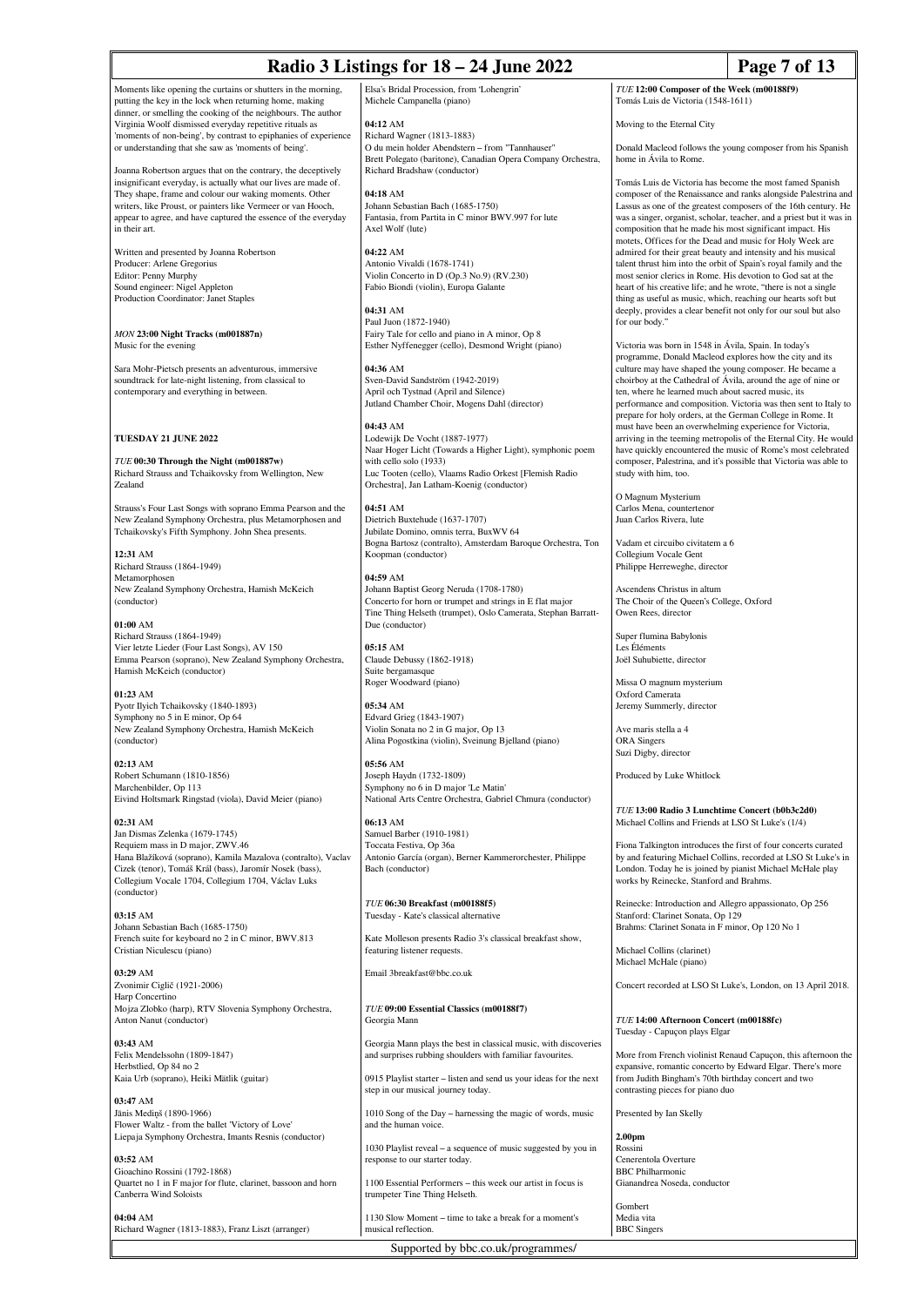## **Radio 3 Listings for 18 – 24 June 2022 Page 7 of 13**

Moments like opening the curtains or shutters in the morning, putting the key in the lock when returning home, making dinner, or smelling the cooking of the neighbours. The authority Virginia Woolf dismissed everyday repetitive rituals as 'moments of non-being', by contrast to epiphanies of experience or understanding that she saw as 'moments of being'.

Joanna Robertson argues that on the contrary, the deceptively insignificant everyday, is actually what our lives are made of. They shape, frame and colour our waking moments. Other writers, like Proust, or painters like Vermeer or van Hooch, appear to agree, and have captured the essence of the everyday in their art.

Written and presented by Joanna Robertson Producer: Arlene Gregorius Editor: Penny Murphy Sound engineer: Nigel Appleton Production Coordinator: Janet Staples

*MON* **23:00 Night Tracks (m001887n)** Music for the evening

Sara Mohr-Pietsch presents an adventurous, immersive soundtrack for late-night listening, from classical to contemporary and everything in between.

## **TUESDAY 21 JUNE 2022**

*TUE* **00:30 Through the Night (m001887w)** Richard Strauss and Tchaikovsky from Wellington, New Zealand

Strauss's Four Last Songs with soprano Emma Pearson and the New Zealand Symphony Orchestra, plus Metamorphosen and Tchaikovsky's Fifth Symphony. John Shea presents.

**12:31** AM Richard Strauss (1864-1949) Metamorphosen New Zealand Symphony Orchestra, Hamish McKeich (conductor)

**01:00** AM Richard Strauss (1864-1949) Vier letzte Lieder (Four Last Songs), AV 150 Emma Pearson (soprano), New Zealand Symphony Orchestra, Hamish McKeich (conductor)

**01:23** AM Pyotr Ilyich Tchaikovsky (1840-1893) Symphony no 5 in E minor, Op 64 New Zealand Symphony Orchestra, Hamish McKeich (conductor)

**02:13** AM Robert Schumann (1810-1856) Marchenbilder, Op 113 Eivind Holtsmark Ringstad (viola), David Meier (piano)

**02:31** AM Jan Dismas Zelenka (1679-1745) Requiem mass in D major, ZWV.46 Hana Blažíková (soprano), Kamila Mazalova (contralto), Vaclav Cizek (tenor), Tomáš Král (bass), Jaromír Nosek (bass), Collegium Vocale 1704, Collegium 1704, Václav Luks (conductor)

**03:15** AM Johann Sebastian Bach (1685-1750) French suite for keyboard no 2 in C minor, BWV.813 Cristian Niculescu (piano)

**03:29** AM Zvonimir Ciglič (1921-2006) Harp Concertino Mojza Zlobko (harp), RTV Slovenia Symphony Orchestra, Anton Nanut (conductor)

**03:43** AM Felix Mendelssohn (1809-1847) Herbstlied, Op 84 no 2 Kaia Urb (soprano), Heiki Mätlik (guitar)

**03:47** AM Jānis Mediņš (1890-1966) Flower Waltz - from the ballet 'Victory of Love' Liepaja Symphony Orchestra, Imants Resnis (conductor)

**03:52** AM Gioachino Rossini (1792-1868) Quartet no 1 in F major for flute, clarinet, bassoon and horn Canberra Wind Soloists

**04:04** AM Richard Wagner (1813-1883), Franz Liszt (arranger) Elsa's Bridal Procession, from 'Lohengrin' Michele Campanella (piano)

**04:12** AM Richard Wagner (1813-1883) O du mein holder Abendstern – from "Tannhauser" Brett Polegato (baritone), Canadian Opera Company Orchestra, Richard Bradshaw (conductor)

**04:18** AM Johann Sebastian Bach (1685-1750) Fantasia, from Partita in C minor BWV.997 for lute Axel Wolf (lute)

**04:22** AM Antonio Vivaldi (1678-1741) Violin Concerto in D (Op.3 No.9) (RV.230) Fabio Biondi (violin), Europa Galante

**04:31** AM Paul Juon (1872-1940) Fairy Tale for cello and piano in A minor, Op 8 Esther Nyffenegger (cello), Desmond Wright (piano)

**04:36** AM Sven-David Sandström (1942-2019) April och Tystnad (April and Silence) Jutland Chamber Choir, Mogens Dahl (director)

**04:43** AM Lodewijk De Vocht (1887-1977) Naar Hoger Licht (Towards a Higher Light), symphonic poem with cello solo (1933) Luc Tooten (cello), Vlaams Radio Orkest [Flemish Radio Orchestra], Jan Latham-Koenig (conductor)

**04:51** AM Dietrich Buxtehude (1637-1707) Jubilate Domino, omnis terra, BuxWV 64 Bogna Bartosz (contralto), Amsterdam Baroque Orchestra, Ton Koopman (conductor)

**04:59** AM Johann Baptist Georg Neruda (1708-1780) Concerto for horn or trumpet and strings in E flat major Tine Thing Helseth (trumpet), Oslo Camerata, Stephan Barratt-Due (conductor)

**05:15** AM Claude Debussy (1862-1918) Suite bergamasque Roger Woodward (piano)

**05:34** AM Edvard Grieg (1843-1907) Violin Sonata no 2 in G major, Op 13 Alina Pogostkina (violin), Sveinung Bjelland (piano)

**05:56** AM Joseph Haydn (1732-1809) Symphony no 6 in D major 'Le Matin' National Arts Centre Orchestra, Gabriel Chmura (conductor)

**06:13** AM Samuel Barber (1910-1981) Toccata Festiva, Op 36a Antonio García (organ), Berner Kammerorchester, Philippe Bach (conductor)

*TUE* **06:30 Breakfast (m00188f5)** Tuesday - Kate's classical alternative

Kate Molleson presents Radio 3's classical breakfast show, featuring listener requests.

Email 3breakfast@bbc.co.uk

*TUE* **09:00 Essential Classics (m00188f7)** Georgia Mann

Georgia Mann plays the best in classical music, with discoveries and surprises rubbing shoulders with familiar favourites.

0915 Playlist starter – listen and send us your ideas for the next step in our musical journey today.

1010 Song of the Day – harnessing the magic of words, music and the human voice.

1030 Playlist reveal – a sequence of music suggested by you in response to our starter today.

1100 Essential Performers – this week our artist in focus is trumpeter Tine Thing Helseth.

1130 Slow Moment – time to take a break for a moment's musical reflection.

Supported by bbc.co.uk/programmes/

## *TUE* **12:00 Composer of the Week (m00188f9)** Tomás Luis de Victoria (1548-1611)

Moving to the Eternal City

Donald Macleod follows the young composer from his Spanish home in Ávila to Rome.

nás Luis de Victoria has become the most famed Spanish composer of the Renaissance and ranks alongside Palestrina and Lassus as one of the greatest composers of the 16th century. He was a singer, organist, scholar, teacher, and a priest but it was composition that he made his most significant impact. His motets, Offices for the Dead and music for Holy Week are admired for their great beauty and intensity and his musical talent thrust him into the orbit of Spain's royal family and the most senior clerics in Rome. His devotion to God sat at the heart of his creative life; and he wrote, "there is not a single thing as useful as music, which, reaching our hearts soft but deeply, provides a clear benefit not only for our soul but also for our body.

Victoria was born in 1548 in Ávila, Spain. In today's programme, Donald Macleod explores how the city and its culture may have shaped the young composer. He became a choirboy at the Cathedral of Ávila, around the age of nine or ten, where he learned much about sacred music, its performance and composition. Victoria was then sent to Italy to prepare for holy orders, at the German College in Rome. It must have been an overwhelming experience for Victoria, arriving in the teeming metropolis of the Eternal City. He would have quickly encountered the music of Rome's most celebrated composer, Palestrina, and it's possible that Victoria was able to study with him, too.

O Magnum Mysterium Carlos Mena, countertenor Juan Carlos Rivera, lute

Vadam et circuibo civitatem a 6 Collegium Vocale Gent Philippe Herreweghe, director

Ascendens Christus in altum The Choir of the Queen's College, Oxford Owen Rees, director

Super flumina Babylonis Les Éléments Joël Suhubiette, director

Missa O magnum mysterium Oxford Camerata Jeremy Summerly, director

Ave maris stella a 4 ORA Singers Suzi Digby, director

Produced by Luke Whitlock

*TUE* **13:00 Radio 3 Lunchtime Concert (b0b3c2d0)** Michael Collins and Friends at LSO St Luke's (1/4)

Fiona Talkington introduces the first of four concerts curated by and featuring Michael Collins, recorded at LSO St Luke's in London. Today he is joined by pianist Michael McHale play works by Reinecke, Stanford and Brahms.

Reinecke: Introduction and Allegro appassionato, Op 256 Stanford: Clarinet Sonata, Op 129 Brahms: Clarinet Sonata in F minor, Op 120 No 1

Michael Collins (clarinet) Michael McHale (piano)

Concert recorded at LSO St Luke's, London, on 13 April 2018.

*TUE* **14:00 Afternoon Concert (m00188fc)** Tuesday - Capuçon plays Elgar

More from French violinist Renaud Capuçon, this afternoon the expansive, romantic concerto by Edward Elgar. There's more from Judith Bingham's 70th birthday concert and two contrasting pieces for piano duo

Presented by Ian Skelly

**2.00pm** Rossini Cenerentola Overture BBC Philharmonic Gianandrea Noseda, conductor

Gombert Media vita BBC Singers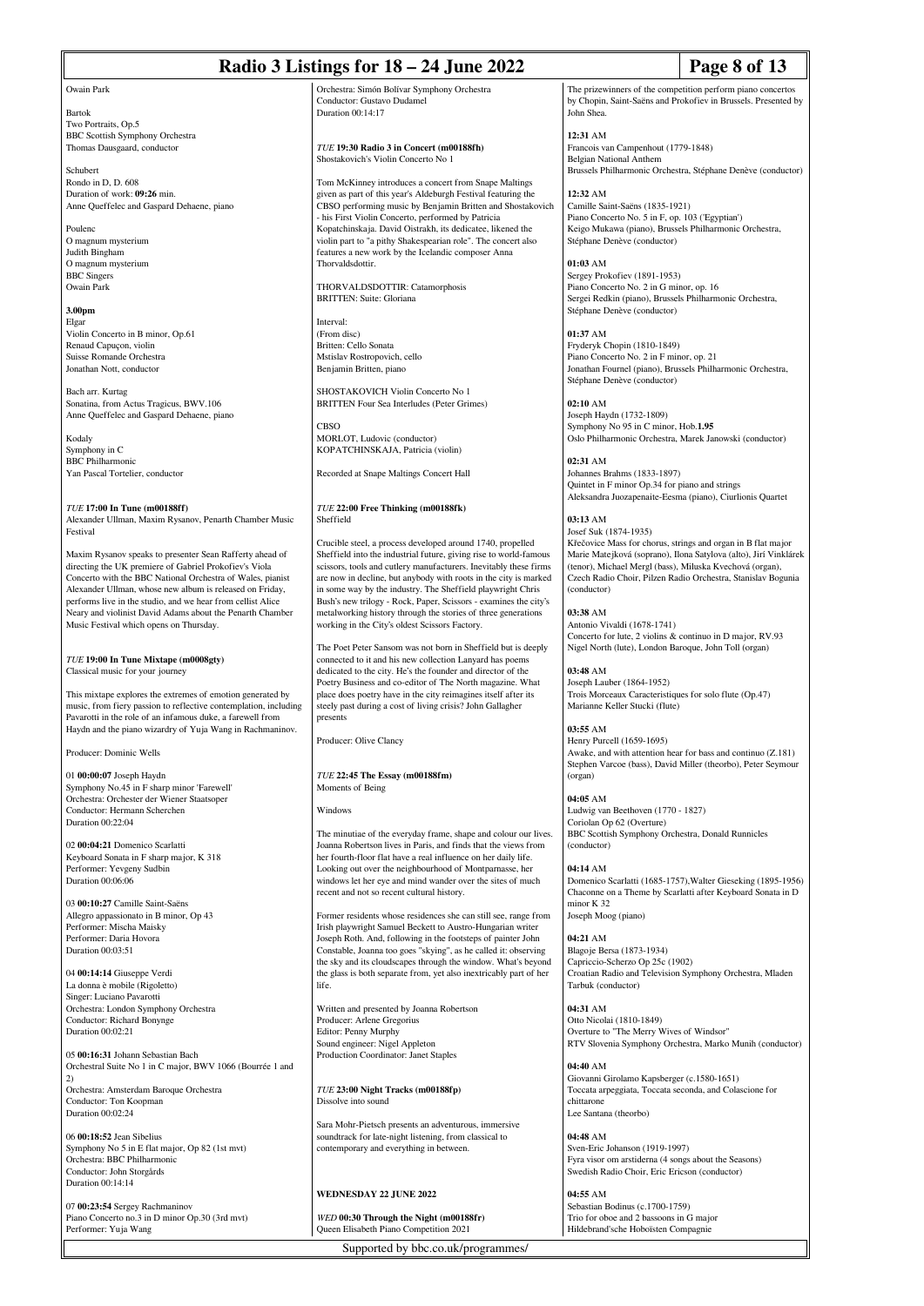## **Radio 3 Listings for 18 – 24 June 2022 Page 8 of 13**

### Owain Park

Bartok Two Portraits, Op.5 BBC Scottish Symphony Orchestra Thomas Dausgaard, conductor

Schubert Rondo in D, D. 608 Duration of work: **09:26** min. Anne Queffelec and Gaspard Dehaene, piano

Poulenc O magnum mysterium Judith Bingham O magnum mysterium BBC Singers Owain Park

**3.00pm** Elgar Violin Concerto in B minor, Op.61 Renaud Capuçon, violin Suisse Romande Orchestra Jonathan Nott, conductor

Bach arr. Kurtag Sonatina, from Actus Tragicus, BWV.106 Anne Queffelec and Gaspard Dehaene, piano

Kodaly Symphony in C BBC Philharmonic Yan Pascal Tortelier, conductor

*TUE* **17:00 In Tune (m00188ff)** Alexander Ullman, Maxim Rysanov, Penarth Chamber Music Festival

Maxim Rysanov speaks to presenter Sean Rafferty ahead of directing the UK premiere of Gabriel Prokofiev's Viola Concerto with the BBC National Orchestra of Wales, pianist Alexander Ullman, whose new album is released on Friday, performs live in the studio, and we hear from cellist Alice Neary and violinist David Adams about the Penarth Chamber Music Festival which opens on Thursday.

*TUE* **19:00 In Tune Mixtape (m0008gty)** Classical music for your journey

This mixtape explores the extremes of emotion generated by music, from fiery passion to reflective contemplation, including Pavarotti in the role of an infamous duke, a farewell from Haydn and the piano wizardry of Yuja Wang in Rachmaninov.

Producer: Dominic Wells

01 **00:00:07** Joseph Haydn Symphony No.45 in F sharp minor 'Farewell' Orchestra: Orchester der Wiener Staatsoper Conductor: Hermann Scherchen Duration 00:22:04

02 **00:04:21** Domenico Scarlatti Keyboard Sonata in F sharp major, K 318 Performer: Yevgeny Sudbin Duration 00:06:06

03 **00:10:27** Camille Saint‐Saëns Allegro appassionato in B minor, Op 43 Performer: Mischa Maisky Performer: Daria Hovora Duration 00:03:51

04 **00:14:14** Giuseppe Verdi La donna è mobile (Rigoletto) Singer: Luciano Pavarotti Orchestra: London Symphony Orchestra Conductor: Richard Bonynge Duration 00:02:21

05 **00:16:31** Johann Sebastian Bach Orchestral Suite No 1 in C major, BWV 1066 (Bourrée 1 and 2) Orchestra: Amsterdam Baroque Orchestra

Conductor: Ton Koopman Duration 00:02:24

06 **00:18:52** Jean Sibelius Symphony No 5 in E flat major, Op 82 (1st mvt) Orchestra: BBC Philharmonic Conductor: John Storgårds Duration 00:14:14

07 **00:23:54** Sergey Rachmaninov Piano Concerto no.3 in D minor Op.30 (3rd mvt) Performer: Yuja Wang

Orchestra: Simón Bolívar Symphony Orchestra Conductor: Gustavo Dudamel Duration 00:14:17

*TUE* **19:30 Radio 3 in Concert (m00188fh)** Shostakovich's Violin Concerto No 1

Tom McKinney introduces a concert from Snape Maltings given as part of this year's Aldeburgh Festival featuring the CBSO performing music by Benjamin Britten and Shostakovich his First Violin Concerto, performed by Patricia Kopatchinskaja. David Oistrakh, its dedicatee, likened the violin part to "a pithy Shakespearian role". The concert also features a new work by the Icelandic composer Anna **Thorvaldsdottir** 

THORVALDSDOTTIR: Catamorphosis BRITTEN: Suite: Gloriana

Interval: (From disc) Britten: Cello Sonata Mstislav Rostropovich, cello Benjamin Britten, piano

SHOSTAKOVICH Violin Concerto No 1 BRITTEN Four Sea Interludes (Peter Grimes)

CBSO MORLOT, Ludovic (conductor) KOPATCHINSKAJA, Patricia (violin)

Recorded at Snape Maltings Concert Hall

*TUE* **22:00 Free Thinking (m00188fk)** Sheffield

Crucible steel, a process developed around 1740, propelled Sheffield into the industrial future, giving rise to world-famous scissors, tools and cutlery manufacturers. Inevitably these firms are now in decline, but anybody with roots in the city is marked in some way by the industry. The Sheffield playwright Chris Bush's new trilogy - Rock, Paper, Scissors - examines the city's metalworking history through the stories of three generations working in the City's oldest Scissors Factory.

The Poet Peter Sansom was not born in Sheffield but is deeply connected to it and his new collection Lanyard has poems dedicated to the city. He's the founder and director of the Poetry Business and co-editor of The North magazine. What place does poetry have in the city reimagines itself after its steely past during a cost of living crisis? John Gallagher presents

Producer: Olive Clancy

*TUE* **22:45 The Essay (m00188fm)** Moments of Being

Windows

The minutiae of the everyday frame, shape and colour our lives. Joanna Robertson lives in Paris, and finds that the views from her fourth-floor flat have a real influence on her daily life. Looking out over the neighbourhood of Montparnasse, her Ecoking out over the heighbourhood of Montparnasse, her windows let her eye and mind wander over the sites of much recent and not so recent cultural history.

Former residents whose residences she can still see, range from Irish playwright Samuel Beckett to Austro-Hungarian writer Joseph Roth. And, following in the footsteps of painter John Constable, Joanna too goes "skying", as he called it: observing the sky and its cloudscapes through the window. What's beyond the glass is both separate from, yet also inextricably part of her life.

Written and presented by Joanna Robertson Producer: Arlene Gregorius Editor: Penny Murphy Sound engineer: Nigel Appleton Production Coordinator: Janet Staples

*TUE* **23:00 Night Tracks (m00188fp)** Dissolve into sound

Sara Mohr-Pietsch presents an adventurous, immersive soundtrack for late-night listening, from classical to contemporary and everything in between.

**WEDNESDAY 22 JUNE 2022**

*WED* **00:30 Through the Night (m00188fr)** Queen Elisabeth Piano Competition 2021

Supported by bbc.co.uk/programmes/

The prizewinners of the competition perform piano concertos by Chopin, Saint-Saëns and Prokofiev in Brussels. Presented by John Shea.

**12:31** AM Francois van Campenhout (1779-1848) Belgian National Anthem Brussels Philharmonic Orchestra, Stéphane Denève (conductor)

**12:32** AM Camille Saint-Saëns (1835-1921) Piano Concerto No. 5 in F, op. 103 ('Egyptian') Keigo Mukawa (piano), Brussels Philharmonic Orchestra, Stéphane Denève (conductor)

**01:03** AM Sergey Prokofiev (1891-1953) Piano Concerto No. 2 in G minor, op. 16 Sergei Redkin (piano), Brussels Philharmonic Orchestra, Stéphane Denève (conductor)

**01:37** AM Fryderyk Chopin (1810-1849) Piano Concerto No. 2 in F minor, op. 21 Jonathan Fournel (piano), Brussels Philharmonic Orchestra, Stéphane Denève (conductor)

**02:10** AM Joseph Haydn (1732-1809) Symphony No 95 in C minor, Hob.**1.95** Oslo Philharmonic Orchestra, Marek Janowski (conductor)

**02:31** AM Johannes Brahms (1833-1897) Quintet in F minor Op.34 for piano and strings Aleksandra Juozapenaite-Eesma (piano), Ciurlionis Quartet

**03:13** AM Josef Suk (1874-1935) Křečovice Mass for chorus, strings and organ in B flat major Marie Matejková (soprano), Ilona Satylova (alto), Jirí Vinklárek (tenor), Michael Mergl (bass), Miluska Kvechová (organ), Czech Radio Choir, Pilzen Radio Orchestra, Stanislav Bogunia (conductor)

**03:38** AM Antonio Vivaldi (1678-1741) Concerto for lute, 2 violins & continuo in D major, RV.93 Nigel North (lute), London Baroque, John Toll (organ)

**03:48** AM Joseph Lauber (1864-1952) Trois Morceaux Caracteristiques for solo flute (Op.47) Marianne Keller Stucki (flute)

**03:55** AM Henry Purcell (1659-1695) Awake, and with attention hear for bass and continuo (Z.181) Stephen Varcoe (bass), David Miller (theorbo), Peter Seymour (organ)

**04:05** AM Ludwig van Beethoven (1770 - 1827) Coriolan Op 62 (Overture) BBC Scottish Symphony Orchestra, Donald Runnicles (conductor)

**04:14** AM Domenico Scarlatti (1685-1757),Walter Gieseking (1895-1956) Chaconne on a Theme by Scarlatti after Keyboard Sonata in D minor K 32 Joseph Moog (piano)

**04:21** AM Blagoje Bersa (1873-1934) Capriccio-Scherzo Op 25c (1902) Croatian Radio and Television Symphony Orchestra, Mladen Tarbuk (conductor)

**04:31** AM Otto Nicolai (1810-1849) Overture to "The Merry Wives of Windsor" RTV Slovenia Symphony Orchestra, Marko Munih (conductor)

**04:40** AM Giovanni Girolamo Kapsberger (c.1580-1651) Toccata arpeggiata, Toccata seconda, and Colascione for chittarone Lee Santana (theorbo)

**04:48** AM Sven-Eric Johanson (1919-1997) Fyra visor om arstiderna (4 songs about the Seasons) Swedish Radio Choir, Eric Ericson (conductor)

**04:55** AM Sebastian Bodinus (c.1700-1759) Trio for oboe and 2 bassoons in G major Hildebrand'sche Hoboïsten Compagnie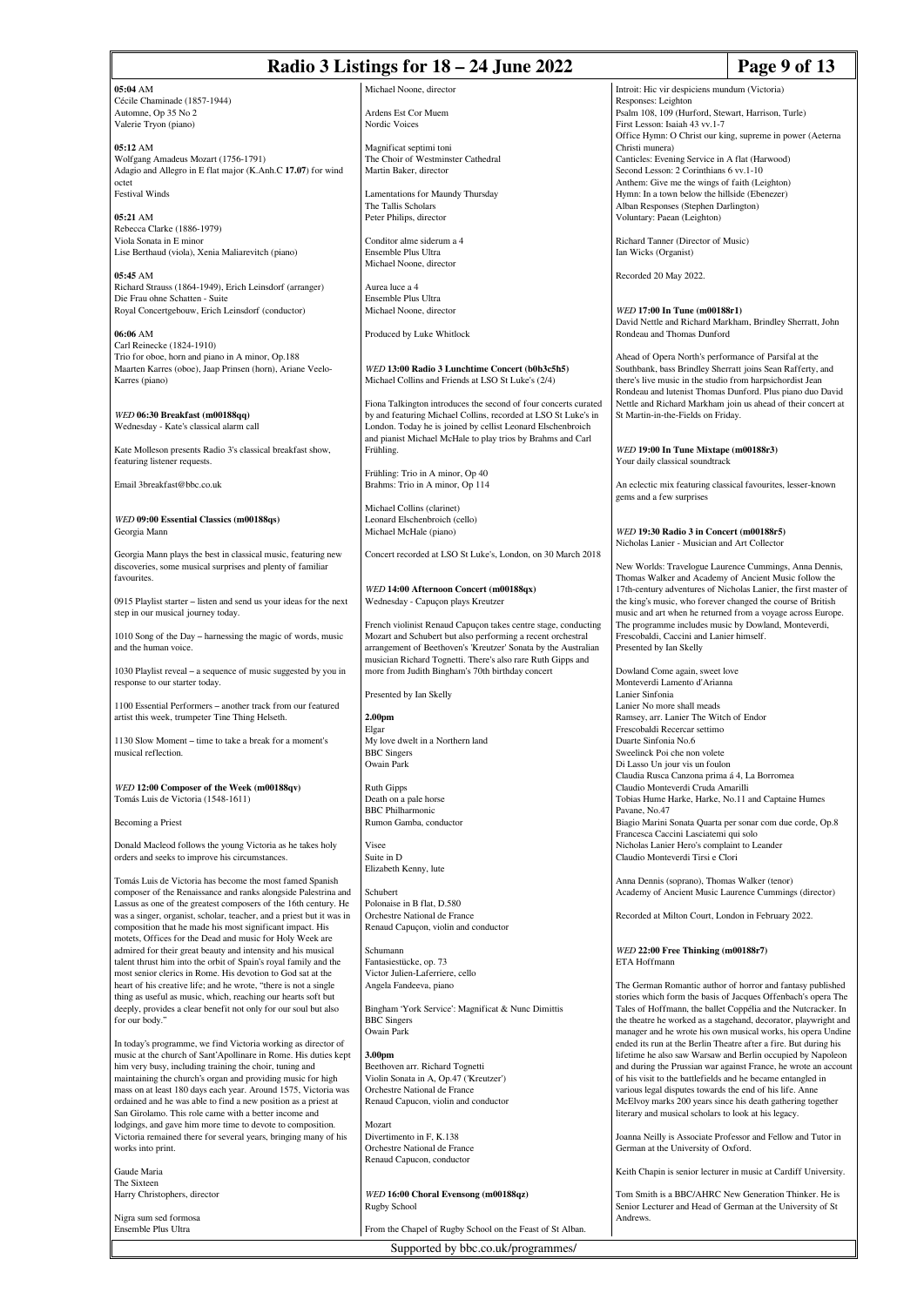## **Radio 3 Listings for 18 – 24 June 2022 Page 9 of 13**

**05:04** AM Cécile Chaminade (1857-1944) Automne, Op 35 No 2 Valerie Tryon (piano)

**05:12** AM Wolfgang Amadeus Mozart (1756-1791) Adagio and Allegro in E flat major (K.Anh.C **17.07**) for wind octet Festival Winds

**05:21** AM Rebecca Clarke (1886-1979) Viola Sonata in E minor Lise Berthaud (viola), Xenia Maliarevitch (piano)

**05:45** AM Richard Strauss (1864-1949), Erich Leinsdorf (arranger) Die Frau ohne Schatten - Suite Royal Concertgebouw, Erich Leinsdorf (conductor)

**06:06** AM Carl Reinecke (1824-1910) Trio for oboe, horn and piano in A minor, Op.188 Maarten Karres (oboe), Jaap Prinsen (horn), Ariane Veelo-Karres (piano)

### *WED* **06:30 Breakfast (m00188qq)** Wednesday - Kate's classical alarm call

Kate Molleson presents Radio 3's classical breakfast show, featuring listener requests.

Email 3breakfast@bbc.co.uk

*WED* **09:00 Essential Classics (m00188qs)** Georgia Mann

Georgia Mann plays the best in classical music, featuring new discoveries, some musical surprises and plenty of familiar favourites.

0915 Playlist starter – listen and send us your ideas for the next step in our musical journey today.

1010 Song of the Day – harnessing the magic of words, music and the human voice

1030 Playlist reveal – a sequence of music suggested by you in response to our starter today.

1100 Essential Performers – another track from our featured artist this week, trumpeter Tine Thing Helseth.

1130 Slow Moment – time to take a break for a moment's musical reflection.

*WED* **12:00 Composer of the Week (m00188qv)** Tomás Luis de Victoria (1548-1611)

Becoming a Priest

Donald Macleod follows the young Victoria as he takes holy orders and seeks to improve his circumstances.

Tomás Luis de Victoria has become the most famed Spanish composer of the Renaissance and ranks alongside Palestrina and Lassus as one of the greatest composers of the 16th century. He was a singer, organist, scholar, teacher, and a priest but it was in composition that he made his most significant impact. His motets, Offices for the Dead and music for Holy Week are admired for their great beauty and intensity and his musical talent thrust him into the orbit of Spain's royal family and the most senior clerics in Rome. His devotion to God sat at the heart of his creative life; and he wrote, "there is not a single thing as useful as music, which, reaching our hearts soft but deeply, provides a clear benefit not only for our soul but also for our body."

In today's programme, we find Victoria working as director of music at the church of Sant'Apollinare in Rome. His duties kept him very busy, including training the choir, tuning and maintaining the church's organ and providing music for high mass on at least 180 days each year. Around 1575, Victoria was ordained and he was able to find a new position as a priest at San Girolamo. This role came with a better income and lodgings, and gave him more time to devote to composition. Victoria remained there for several years, bringing many of his works into print.

Gaude Maria The Sixteen Harry Christophers, director

Nigra sum sed formosa Ensemble Plus Ultra

Michael Noone, director

Ardens Est Cor Muem Nordic Voices

Magnificat septimi toni The Choir of Westminster Cathedral Martin Baker, director

Lamentations for Maundy Thursday The Tallis Scholars Peter Philips, director

Conditor alme siderum a 4 Ensemble Plus Ultra Michael Noone, director

Aurea luce a 4 Ensemble Plus Ultra Michael Noone, director

Produced by Luke Whitlock

*WED* **13:00 Radio 3 Lunchtime Concert (b0b3c5h5)** Michael Collins and Friends at LSO St Luke's (2/4)

Fiona Talkington introduces the second of four concerts curated by and featuring Michael Collins, recorded at LSO St Luke's in London. Today he is joined by cellist Leonard Elschenbroich and pianist Michael McHale to play trios by Brahms and Carl Frühling.

Frühling: Trio in A minor, Op 40 Brahms: Trio in A minor, Op 114

Michael Collins (clarinet) Leonard Elschenbroich (cello) Michael McHale (piano)

Concert recorded at LSO St Luke's, London, on 30 March 2018

*WED* **14:00 Afternoon Concert (m00188qx)** Wednesday - Capuçon plays Kreutzer

French violinist Renaud Capuçon takes centre stage, conducting Mozart and Schubert but also performing a recent orchestral arrangement of Beethoven's 'Kreutzer' Sonata by the Australian musician Richard Tognetti. There's also rare Ruth Gipps and more from Judith Bingham's 70th birthday concert

Presented by Ian Skelly

**2.00pm** Elgar My love dwelt in a Northern land BBC Singers Owain Park

Ruth Gipps Death on a pale horse BBC Philharmonic Rumon Gamba, conductor

Visee Suite in D Elizabeth Kenny, lute

Schubert Polonaise in B flat, D.580 Orchestre National de France Renaud Capuçon, violin and conductor

Schumann Fantasiestücke, op. 73 Victor Julien-Laferriere, cello Angela Fandeeva, piano

Bingham 'York Service': Magnificat & Nunc Dimittis BBC Singers Owain Park

**3.00pm** Beethoven arr. Richard Tognetti Violin Sonata in A, Op.47 ('Kreutzer') Orchestre National de France Renaud Capucon, violin and conductor

Mozart Divertimento in F, K.138 Orchestre National de France Renaud Capucon, conductor

*WED* **16:00 Choral Evensong (m00188qz)** Rugby School

From the Chapel of Rugby School on the Feast of St Alban.

Supported by bbc.co.uk/programmes/

Introit: Hic vir despiciens mundum (Victoria) Responses: Leighton Psalm 108, 109 (Hurford, Stewart, Harrison, Turle) First Lesson: Isaiah 43 vv.1-7 Office Hymn: O Christ our king, supreme in power (Aeterna Christi mu Canticles: Evening Service in A flat (Harwood) Second Lesson: 2 Corinthians 6 vv.1-10 Anthem: Give me the wings of faith (Leighton) Hymn: In a town below the hillside (Ebenezer) Alban Responses (Stephen Darlington) Voluntary: Paean (Leighton)

Richard Tanner (Director of Music) Ian Wicks (Organist)

Recorded 20 May 2022.

### *WED* **17:00 In Tune (m00188r1)**

David Nettle and Richard Markham, Brindley Sherratt, John Rondeau and Thomas Dunford

Ahead of Opera North's performance of Parsifal at the Southbank, bass Brindley Sherratt joins Sean Rafferty, and there's live music in the studio from harpsichordist Jean Rondeau and lutenist Thomas Dunford. Plus piano duo David Nettle and Richard Markham join us ahead of their concert at St Martin-in-the-Fields on Friday.

*WED* **19:00 In Tune Mixtape (m00188r3)** Your daily classical soundtrack

An eclectic mix featuring classical favourites, lesser-known gems and a few surprises

*WED* **19:30 Radio 3 in Concert (m00188r5)** Nicholas Lanier - Musician and Art Collector

New Worlds: Travelogue Laurence Cummings, Anna Dennis, Thomas Walker and Academy of Ancient Music follow the 17th-century adventures of Nicholas Lanier, the first master of the king's music, who forever changed the course of British music and art when he returned from a voyage across Europe. The programme includes music by Dowland, Monteverdi, Frescobaldi, Caccini and Lanier himself. Presented by Ian Skelly

Dowland Come again, sweet love Monteverdi Lamento d'Arianna Lanier Sinfonia Lanier No more shall meads Ramsey, arr. Lanier The Witch of Endor Frescobaldi Recercar settimo Duarte Sinfonia No.6 Sweelinck Poi che non volete Di Lasso Un jour vis un foulon Claudia Rusca Canzona prima á 4, La Borromea Claudio Monteverdi Cruda Amarilli Tobias Hume Harke, Harke, No.11 and Captaine Humes Pavane, No.47 Biagio Marini Sonata Quarta per sonar com due corde, Op.8 Francesca Caccini Lasciatemi qui solo Nicholas Lanier Hero's complaint to Leander Claudio Monteverdi Tirsi e Clori

Anna Dennis (soprano), Thomas Walker (tenor) Academy of Ancient Music Laurence Cummings (director)

Recorded at Milton Court, London in February 2022.

*WED* **22:00 Free Thinking (m00188r7)** ETA Hoffman

The German Romantic author of horror and fantasy published stories which form the basis of Jacques Offenbach's opera The Tales of Hoffmann, the ballet Coppélia and the Nutcracker. In the theatre he worked as a stagehand, decorator, playwright and manager and he wrote his own musical works, his opera Undine ended its run at the Berlin Theatre after a fire. But during his lifetime he also saw Warsaw and Berlin occupied by Napoleon and during the Prussian war against France, he wrote an account of his visit to the battlefields and he became entangled in various legal disputes towards the end of his life. Anne McElvoy marks 200 years since his death gathering together literary and musical scholars to look at his legacy.

Joanna Neilly is Associate Professor and Fellow and Tutor in German at the University of Oxford.

Keith Chapin is senior lecturer in music at Cardiff University.

Tom Smith is a BBC/AHRC New Generation Thinker. He is Senior Lecturer and Head of German at the University of St Andrews.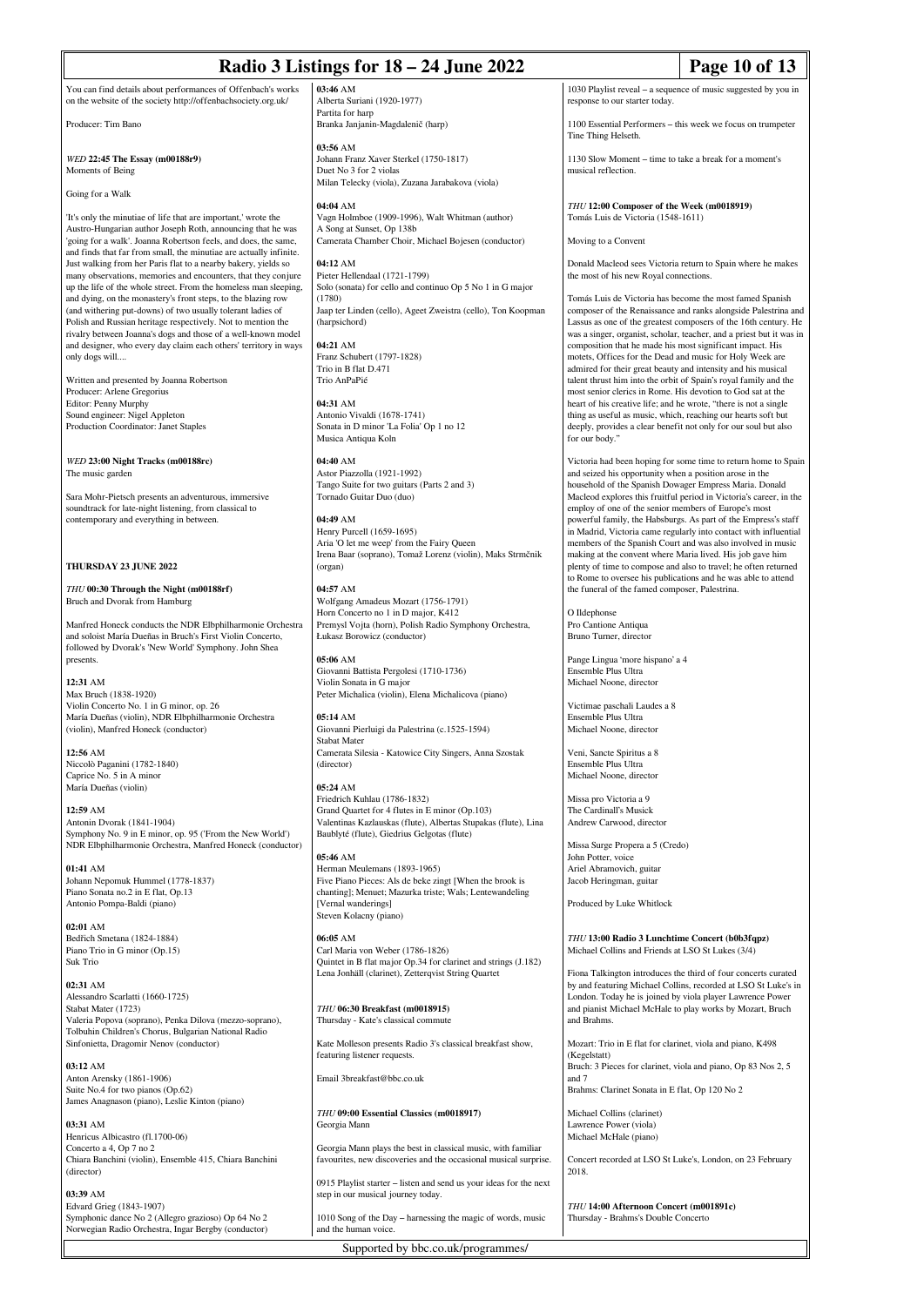|                                                                                                                                      | Radio 3 Listings for 18 – 24 June 2022                                                                  | Page 10 of 13                                                                                                                     |
|--------------------------------------------------------------------------------------------------------------------------------------|---------------------------------------------------------------------------------------------------------|-----------------------------------------------------------------------------------------------------------------------------------|
|                                                                                                                                      |                                                                                                         |                                                                                                                                   |
| You can find details about performances of Offenbach's works<br>on the website of the society http://offenbachsociety.org.uk/        | 03:46 AM<br>Alberta Suriani (1920-1977)                                                                 | 1030 Playlist reveal - a sequence of music suggested by you in<br>response to our starter today.                                  |
| Producer: Tim Bano                                                                                                                   | Partita for harp<br>Branka Janjanin-Magdalenič (harp)                                                   | 1100 Essential Performers – this week we focus on trumpeter<br>Tine Thing Helseth.                                                |
|                                                                                                                                      | 03:56 AM                                                                                                |                                                                                                                                   |
| WED 22:45 The Essay (m00188r9)<br>Moments of Being                                                                                   | Johann Franz Xaver Sterkel (1750-1817)<br>Duet No 3 for 2 violas                                        | 1130 Slow Moment – time to take a break for a moment's<br>musical reflection.                                                     |
| Going for a Walk                                                                                                                     | Milan Telecky (viola), Zuzana Jarabakova (viola)<br>04:04 AM                                            |                                                                                                                                   |
| 'It's only the minutiae of life that are important,' wrote the<br>Austro-Hungarian author Joseph Roth, announcing that he was        | Vagn Holmboe (1909-1996), Walt Whitman (author)<br>A Song at Sunset, Op 138b                            | THU 12:00 Composer of the Week (m0018919)<br>Tomás Luis de Victoria (1548-1611)                                                   |
| going for a walk'. Joanna Robertson feels, and does, the same,<br>and finds that far from small, the minutiae are actually infinite. | Camerata Chamber Choir, Michael Bojesen (conductor)                                                     | Moving to a Convent                                                                                                               |
| Just walking from her Paris flat to a nearby bakery, yields so<br>many observations, memories and encounters, that they conjure      | 04:12 AM<br>Pieter Hellendaal (1721-1799)                                                               | Donald Macleod sees Victoria return to Spain where he makes<br>the most of his new Royal connections.                             |
| up the life of the whole street. From the homeless man sleeping,<br>and dying, on the monastery's front steps, to the blazing row    | Solo (sonata) for cello and continuo Op 5 No 1 in G major<br>(1780)                                     | Tomás Luis de Victoria has become the most famed Spanish                                                                          |
| (and withering put-downs) of two usually tolerant ladies of<br>Polish and Russian heritage respectively. Not to mention the          | Jaap ter Linden (cello), Ageet Zweistra (cello), Ton Koopman<br>(harpsichord)                           | composer of the Renaissance and ranks alongside Palestrina and<br>Lassus as one of the greatest composers of the 16th century. He |
| rivalry between Joanna's dogs and those of a well-known model<br>and designer, who every day claim each others' territory in ways    | 04:21 AM                                                                                                | was a singer, organist, scholar, teacher, and a priest but it was in                                                              |
| only dogs will                                                                                                                       | Franz Schubert (1797-1828)                                                                              | composition that he made his most significant impact. His<br>motets, Offices for the Dead and music for Holy Week are             |
|                                                                                                                                      | Trio in B flat D.471                                                                                    | admired for their great beauty and intensity and his musical                                                                      |
| Written and presented by Joanna Robertson<br>Producer: Arlene Gregorius                                                              | Trio AnPaPié                                                                                            | talent thrust him into the orbit of Spain's royal family and the<br>most senior clerics in Rome. His devotion to God sat at the   |
| Editor: Penny Murphy                                                                                                                 | 04:31 AM                                                                                                | heart of his creative life; and he wrote, "there is not a single"                                                                 |
| Sound engineer: Nigel Appleton                                                                                                       | Antonio Vivaldi (1678-1741)                                                                             | thing as useful as music, which, reaching our hearts soft but                                                                     |
| Production Coordinator: Janet Staples                                                                                                | Sonata in D minor 'La Folia' Op 1 no 12<br>Musica Antiqua Koln                                          | deeply, provides a clear benefit not only for our soul but also<br>for our body."                                                 |
| WED 23:00 Night Tracks (m00188rc)                                                                                                    | 04:40 AM                                                                                                | Victoria had been hoping for some time to return home to Spain                                                                    |
| The music garden                                                                                                                     | Astor Piazzolla (1921-1992)                                                                             | and seized his opportunity when a position arose in the                                                                           |
|                                                                                                                                      | Tango Suite for two guitars (Parts 2 and 3)                                                             | household of the Spanish Dowager Empress Maria. Donald                                                                            |
| Sara Mohr-Pietsch presents an adventurous, immersive<br>soundtrack for late-night listening, from classical to                       | Tornado Guitar Duo (duo)                                                                                | Macleod explores this fruitful period in Victoria's career, in the<br>employ of one of the senior members of Europe's most        |
| contemporary and everything in between.                                                                                              | 04:49 AM                                                                                                | powerful family, the Habsburgs. As part of the Empress's staff                                                                    |
|                                                                                                                                      | Henry Purcell (1659-1695)                                                                               | in Madrid, Victoria came regularly into contact with influential                                                                  |
|                                                                                                                                      | Aria 'O let me weep' from the Fairy Queen<br>Irena Baar (soprano), Tomaž Lorenz (violin), Maks Strmčnik | members of the Spanish Court and was also involved in music                                                                       |
| <b>THURSDAY 23 JUNE 2022</b>                                                                                                         | (organ)                                                                                                 | making at the convent where Maria lived. His job gave him<br>plenty of time to compose and also to travel; he often returned      |
|                                                                                                                                      |                                                                                                         | to Rome to oversee his publications and he was able to attend                                                                     |
| THU 00:30 Through the Night (m00188rf)                                                                                               | 04:57 AM                                                                                                | the funeral of the famed composer, Palestrina.                                                                                    |
| Bruch and Dvorak from Hamburg                                                                                                        | Wolfgang Amadeus Mozart (1756-1791)                                                                     |                                                                                                                                   |
| Manfred Honeck conducts the NDR Elbphilharmonie Orchestra                                                                            | Horn Concerto no 1 in D major, K412<br>Premysl Vojta (horn), Polish Radio Symphony Orchestra,           | O Ildephonse<br>Pro Cantione Antiqua                                                                                              |
| and soloist María Dueñas in Bruch's First Violin Concerto,<br>followed by Dvorak's 'New World' Symphony. John Shea                   | Łukasz Borowicz (conductor)                                                                             | Bruno Turner, director                                                                                                            |
| presents.                                                                                                                            | 05:06 AM                                                                                                | Pange Lingua 'more hispano' a 4                                                                                                   |
| 12:31 AM                                                                                                                             | Giovanni Battista Pergolesi (1710-1736)<br>Violin Sonata in G major                                     | Ensemble Plus Ultra<br>Michael Noone, director                                                                                    |
| Max Bruch (1838-1920)                                                                                                                | Peter Michalica (violin), Elena Michalicova (piano)                                                     |                                                                                                                                   |
| Violin Concerto No. 1 in G minor, op. 26                                                                                             |                                                                                                         | Victimae paschali Laudes a 8                                                                                                      |
| María Dueñas (violin), NDR Elbphilharmonie Orchestra<br>(violin), Manfred Honeck (conductor)                                         | 05:14 AM<br>Giovanni Pierluigi da Palestrina (c.1525-1594)                                              | Ensemble Plus Ultra<br>Michael Noone, director                                                                                    |
| 12:56 AM                                                                                                                             | Stabat Mater<br>Camerata Silesia - Katowice City Singers, Anna Szostak                                  | Veni, Sancte Spiritus a 8                                                                                                         |
| Niccolò Paganini (1782-1840)                                                                                                         | (director)                                                                                              | Ensemble Plus Ultra                                                                                                               |
| Caprice No. 5 in A minor                                                                                                             |                                                                                                         | Michael Noone, director                                                                                                           |
| María Dueñas (violin)                                                                                                                | 05:24 AM                                                                                                |                                                                                                                                   |
| 12:59 AM                                                                                                                             | Friedrich Kuhlau (1786-1832)<br>Grand Quartet for 4 flutes in E minor (Op.103)                          | Missa pro Victoria a 9<br>The Cardinall's Musick                                                                                  |
| Antonin Dvorak (1841-1904)                                                                                                           | Valentinas Kazlauskas (flute), Albertas Stupakas (flute), Lina                                          | Andrew Carwood, director                                                                                                          |
| Symphony No. 9 in E minor, op. 95 ('From the New World')<br>NDR Elbphilharmonie Orchestra, Manfred Honeck (conductor)                | Baublyté (flute), Giedrius Gelgotas (flute)                                                             | Missa Surge Propera a 5 (Credo)                                                                                                   |
|                                                                                                                                      | 05:46 AM                                                                                                | John Potter, voice                                                                                                                |
| 01:41 AM                                                                                                                             | Herman Meulemans (1893-1965)                                                                            | Ariel Abramovich, guitar                                                                                                          |
| Johann Nepomuk Hummel (1778-1837)                                                                                                    | Five Piano Pieces: Als de beke zingt [When the brook is                                                 | Jacob Heringman, guitar                                                                                                           |
| Piano Sonata no.2 in E flat, Op.13<br>Antonio Pompa-Baldi (piano)                                                                    | chanting]; Menuet; Mazurka triste; Wals; Lentewandeling<br>[Vernal wanderings]                          | Produced by Luke Whitlock                                                                                                         |
|                                                                                                                                      | Steven Kolacny (piano)                                                                                  |                                                                                                                                   |
| 02:01 AM<br>Bedřich Smetana (1824-1884)                                                                                              | 06:05 AM                                                                                                | THU 13:00 Radio 3 Lunchtime Concert (b0b3fqpz)                                                                                    |
| Piano Trio in G minor (Op.15)                                                                                                        | Carl Maria von Weber (1786-1826)                                                                        | Michael Collins and Friends at LSO St Lukes (3/4)                                                                                 |
| Suk Trio                                                                                                                             | Quintet in B flat major Op.34 for clarinet and strings (J.182)                                          |                                                                                                                                   |
| 02:31 AM                                                                                                                             | Lena Jonhäll (clarinet), Zetterqvist String Quartet                                                     | Fiona Talkington introduces the third of four concerts curated<br>by and featuring Michael Collins, recorded at LSO St Luke's in  |

**02:31** AM Alessandro Scarlatti (1660-1725) Stabat Mater (1723) Valeria Popova (soprano), Penka Dilova (mezzo-soprano), Tolbuhin Children's Chorus, Bulgarian National Radio Sinfonietta, Dragomir Nenov (conductor)

**03:12** AM Anton Arensky (1861-1906) Suite No.4 for two pianos (Op.62) James Anagnason (piano), Leslie Kinton (piano)

**03:31** AM Henricus Albicastro (fl.1700-06) Concerto a 4, Op 7 no 2 Chiara Banchini (violin), Ensemble 415, Chiara Banchini (director)

**03:39** AM Edvard Grieg (1843-1907) Symphonic dance No 2 (Allegro grazioso) Op 64 No 2 Norwegian Radio Orchestra, Ingar Bergby (conductor)

1010 Song of the Day – harnessing the magic of words, music and the human voice.

Georgia Mann plays the best in classical music, with familiar favourites, new discoveries and the occasional musical surprise. 0915 Playlist starter – listen and send us your ideas for the next

Kate Molleson presents Radio 3's classical breakfast show,

London. Today he is joined by viola player Lawrence Power and pianist Michael McHale to play works by Mozart, Bruch

Mozart: Trio in E flat for clarinet, viola and piano, K498

Brahms: Clarinet Sonata in E flat, Op 120 No 2

*THU* **14:00 Afternoon Concert (m001891c)** Thursday - Brahms's Double Concerto

Bruch: 3 Pieces for clarinet, viola and piano, Op 83 Nos 2, 5

Concert recorded at LSO St Luke's, London, on 23 February

and Brahms.

(Kegelstatt)

Michael Collins (clarinet) Lawrence Power (viola) Michael McHale (piano)

and 7

2018.

*THU* **06:30 Breakfast (m0018915)** Thursday - Kate's classical commute

*THU* **09:00 Essential Classics (m0018917)**

step in our musical journey today.

featuring listener requests. Email 3breakfast@bbc.co.uk

Georgia Mann

Supported by bbc.co.uk/programmes/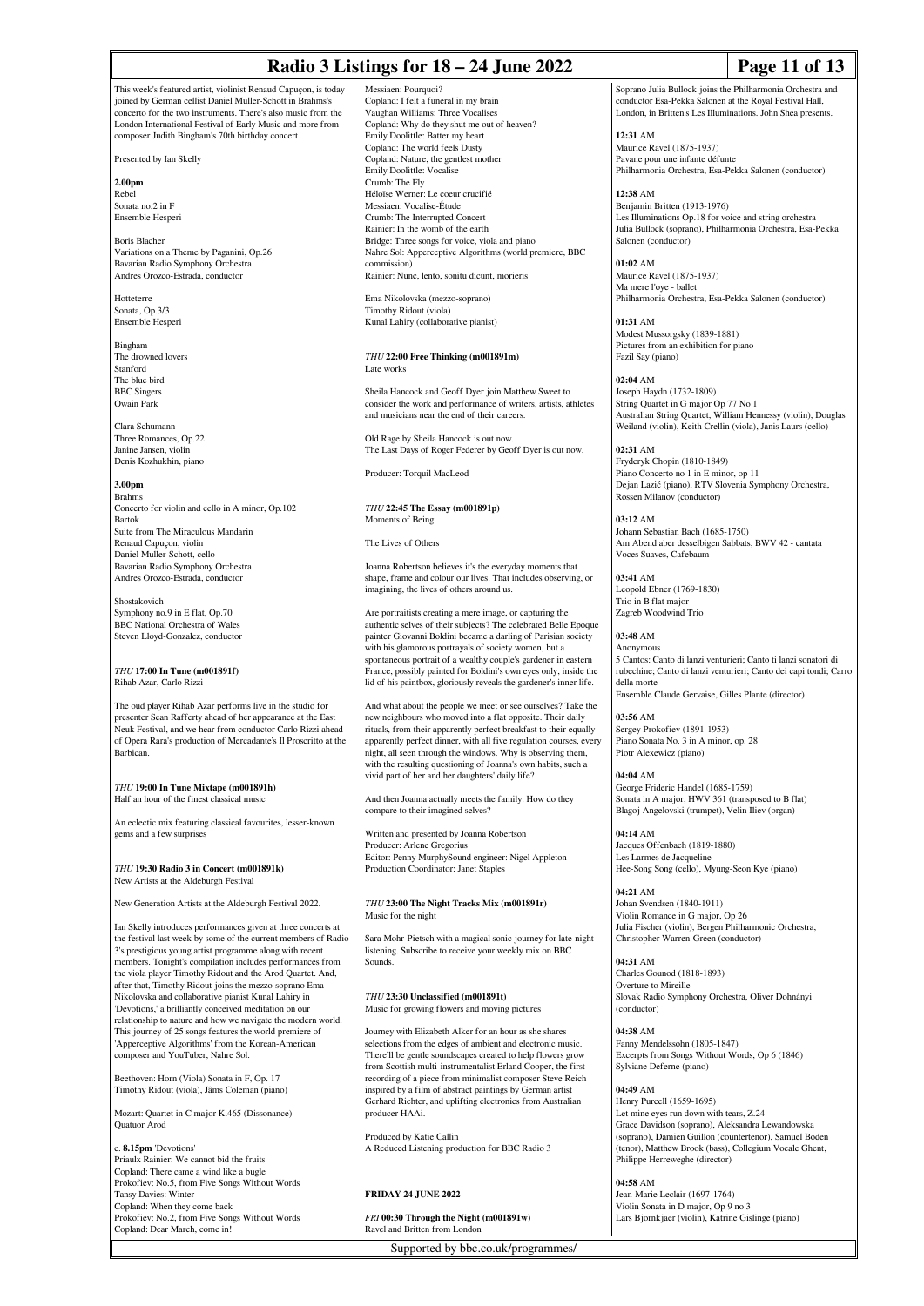## **Radio 3 Listings for 18 – 24 June 2022 Page 11 of 13**

This week's featured artist, violinist Renaud Capuçon, is today joined by German cellist Daniel Muller-Schott in Brahms's concerto for the two instruments. There's also music from the London International Festival of Early Music and more from composer Judith Bingham's 70th birthday concert

Presented by Ian Skelly

**2.00pm** Rebel Sonata no.2 in F Ensemble Hesperi

Boris Blacher Variations on a Theme by Paganini, Op.26 Bavarian Radio Symphony Orchestra Andres Orozco-Estrada, conductor

Hotteterre Sonata, Op.3/3 Ensemble Hesperi

Bingham The drowned lovers Stanford The blue bird BBC Singers Owain Park

Clara Schumann Three Romances, On 22 Janine Jansen, violin Denis Kozhukhin, piano

**3.00pm**

Brahms Concerto for violin and cello in A minor, Op.102 Bartok Suite from The Miraculous Mandarin Renaud Capuçon, violin Daniel Muller-Schott, cello Bavarian Radio Symphony Orchestra Andres Orozco-Estrada, conductor

Shostakovich Symphony no.9 in E flat, Op.70 BBC National Orchestra of Wales Steven Lloyd-Gonzalez, conductor

*THU* **17:00 In Tune (m001891f)** Rihab Azar, Carlo Rizzi

The oud player Rihab Azar performs live in the studio for presenter Sean Rafferty ahead of her appearance at the East Neuk Festival, and we hear from conductor Carlo Rizzi ahead of Opera Rara's production of Mercadante's Il Proscritto at the Barbican.

*THU* **19:00 In Tune Mixtape (m001891h)** Half an hour of the finest classical music

An eclectic mix featuring classical favourites, lesser-known gems and a few surprises

*THU* **19:30 Radio 3 in Concert (m001891k)** New Artists at the Aldeburgh Festival

New Generation Artists at the Aldeburgh Festival 2022.

Ian Skelly introduces performances given at three concerts at the festival last week by some of the current members of Radio 3's prestigious young artist programme along with recent members. Tonight's compilation includes performances from the viola player Timothy Ridout and the Arod Quartet. And, after that, Timothy Ridout joins the mezzo-soprano Ema Nikolovska and collaborative pianist Kunal Lahiry in 'Devotions,' a brilliantly conceived meditation on our relationship to nature and how we navigate the modern world. This journey of 25 songs features the world premiere of 'Apperceptive Algorithms' from the Korean-American composer and YouTuber, Nahre Sol.

Beethoven: Horn (Viola) Sonata in F, Op. 17 Timothy Ridout (viola), Jâms Coleman (piano)

Mozart: Quartet in C major K.465 (Dissonance) Quatuor Arod

c. **8.15pm** 'Devotions'

Priaulx Rainier: We cannot bid the fruits Copland: There came a wind like a bugle Prokofiev: No.5, from Five Songs Without Words Tansy Davies: Winter Copland: When they come back Prokofiev: No.2, from Five Songs Without Words Copland: Dear March, come in!

Messiaen: Pourquoi? Copland: I felt a funeral in my brain Vaughan Williams: Three Vocalises Copland: Why do they shut me out of heaven? Emily Doolittle: Batter my heart Copland: The world feels Dusty Copland: Nature, the gentlest mother Emily Doolittle: Vocalise Crumb: The Fly Héloïse Werner: Le coeur crucifié Messiaen: Vocalise-Étude Crumb: The Interrupted Concert Rainier: In the womb of the earth Bridge: Three songs for voice, viola and piano Nahre Sol: Apperceptive Algorithms (world premiere, BBC commission) Rainier: Nunc, lento, sonitu dicunt, morieris

Ema Nikolovska (mezzo-soprano) Timothy Ridout (viola) Kunal Lahiry (collaborative pianist)

*THU* **22:00 Free Thinking (m001891m)** Late works

Sheila Hancock and Geoff Dyer join Matthew Sweet to consider the work and performance of writers, artists, athletes and musicians near the end of their careers.

Old Rage by Sheila Hancock is out now. The Last Days of Roger Federer by Geoff Dyer is out now.

Producer: Torquil MacLeod

*THU* **22:45 The Essay (m001891p)** Moments of Being

The Lives of Others

Joanna Robertson believes it's the everyday moments that shape, frame and colour our lives. That includes observing, or imagining, the lives of others around us.

Are portraitists creating a mere image, or capturing the authentic selves of their subjects? The celebrated Belle Epoque painter Giovanni Boldini became a darling of Parisian society with his glamorous portrayals of society women, but a spontaneous portrait of a wealthy couple's gardener in eastern France, possibly painted for Boldini's own eyes only, inside the lid of his paintbox, gloriously reveals the gardener's inner life.

And what about the people we meet or see ourselves? Take the new neighbours who moved into a flat opposite. Their daily rituals, from their apparently perfect breakfast to their equally apparently perfect dinner, with all five regulation courses, every night, all seen through the windows. Why is observing them, with the resulting questioning of Joanna's own habits, such a vivid part of her and her daughters' daily life?

And then Joanna actually meets the family. How do they compare to their imagined selves?

Written and presented by Joanna Robertson Producer: Arlene Gregorius Editor: Penny MurphySound engineer: Nigel Appleton Production Coordinator: Janet Staples

*THU* **23:00 The Night Tracks Mix (m001891r)** Music for the night

Sara Mohr-Pietsch with a magical sonic journey for late-night listening. Subscribe to receive your weekly mix on BBC Sounds.

*THU* **23:30 Unclassified (m001891t)** Music for growing flowers and moving pictures

Journey with Elizabeth Alker for an hour as she shares selections from the edges of ambient and electronic music. There'll be gentle soundscapes created to help flowers grow from Scottish multi-instrumentalist Erland Cooper, the first recording of a piece from minimalist composer Steve Reich inspired by a film of abstract paintings by German artist Gerhard Richter, and uplifting electronics from Australian producer HAAi.

Produced by Katie Callin A Reduced Listening production for BBC Radio 3

**FRIDAY 24 JUNE 2022**

*FRI* **00:30 Through the Night (m001891w)** Ravel and Britten from London

Supported by bbc.co.uk/programmes/

Soprano Julia Bullock joins the Philharmonia Orchestra and conductor Esa-Pekka Salonen at the Royal Festival Hall, London, in Britten's Les Illuminations. John Shea presents.

**12:31** AM Maurice Ravel (1875-1937) Pavane pour une infante défunte Philharmonia Orchestra, Esa-Pekka Salonen (conductor)

**12:38** AM Benjamin Britten (1913-1976) Les Illuminations Op.18 for voice and string orchestra Julia Bullock (soprano), Philharmonia Orchestra, Esa-Pekka Salonen (conductor)

**01:02** AM Maurice Ravel (1875-1937) Ma mere l'oye - ballet Philharmonia Orchestra, Esa-Pekka Salonen (conductor)

**01:31** AM Modest Mussorgsky (1839-1881) Pictures from an exhibition for piano Fazil Say (piano)

**02:04** AM Joseph Haydn (1732-1809) String Quartet in G major Op 77 No 1 Australian String Quartet, William Hennessy (violin), Douglas Weiland (violin), Keith Crellin (viola), Janis Laurs (cello)

**02:31** AM Fryderyk Chopin (1810-1849) Piano Concerto no 1 in E minor, op 11 Dejan Lazić (piano), RTV Slovenia Symphony Orchestra, Rossen Milanov (conductor)

**03:12** AM Johann Sebastian Bach (1685-1750) Am Abend aber desselbigen Sabbats, BWV 42 - cantata Voces Suaves, Cafebaum

**03:41** AM Leopold Ebner (1769-1830) Trio in B flat major Zagreb Woodwind Trio

**03:48** AM Anonymous 5 Cantos: Canto di lanzi venturieri; Canto ti lanzi sonatori di rubechine; Canto di lanzi venturieri; Canto dei capi tondi; Carro della morte Ensemble Claude Gervaise, Gilles Plante (director)

**03:56** AM Sergey Prokofiev (1891-1953) Piano Sonata No. 3 in A minor, op. 28 Piotr Alexewicz (piano)

**04:04** AM George Frideric Handel (1685-1759) Sonata in A major, HWV 361 (transposed to B flat) Blagoj Angelovski (trumpet), Velin Iliev (organ)

**04:14** AM Jacques Offenbach (1819-1880) Les Larmes de Jacqueline Hee-Song Song (cello), Myung-Seon Kye (piano)

**04:21** AM Johan Svendsen (1840-1911) Violin Romance in G major, Op 26 Julia Fischer (violin), Bergen Philharmonic Orchestra, Christopher Warren-Green (conductor)

**04:31** AM Charles Gounod (1818-1893) Overture to Mireille Slovak Radio Symphony Orchestra, Oliver Dohnányi (conductor)

**04:38** AM Fanny Mendelssohn (1805-1847) Excerpts from Songs Without Words, Op 6 (1846) Sylviane Deferne (piano)

**04:49** AM Henry Purcell (1659-1695) Let mine eyes run down with tears, Z.24 Grace Davidson (soprano), Aleksandra Lewandowska (soprano), Damien Guillon (countertenor), Samuel Boden (tenor), Matthew Brook (bass), Collegium Vocale Ghent, Philippe Herreweghe (director)

**04:58** AM Jean-Marie Leclair (1697-1764) Violin Sonata in D major, Op 9 no 3 Lars Bjornkjaer (violin), Katrine Gislinge (piano)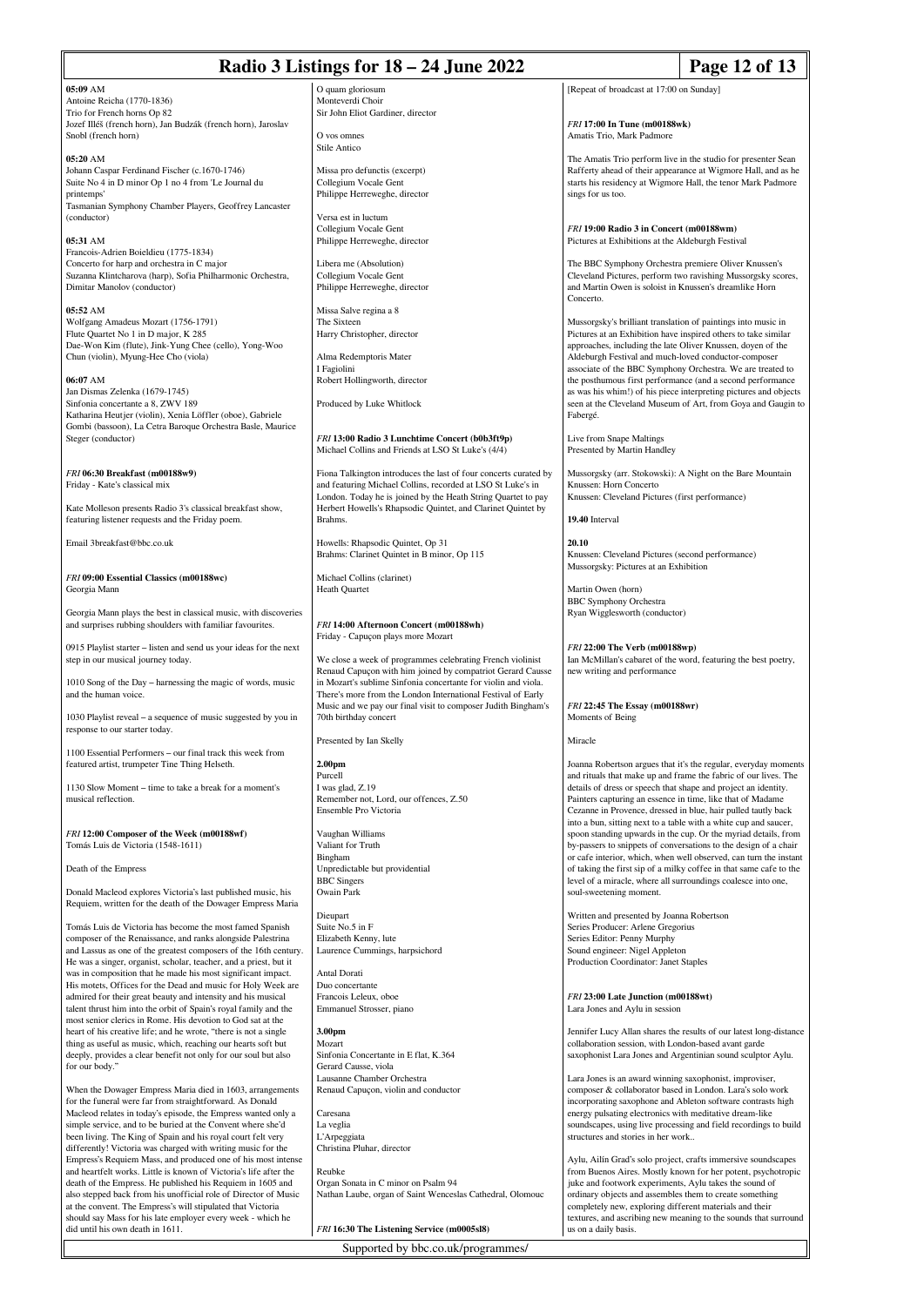# **Radio 3 Listings for 18 – 24 June 2022 Page 12 of 13**

**05:09** AM Antoine Reicha (1770-1836) Trio for French horns Op 82 Jozef Illéš (french horn), Jan Budzák (french horn), Jaroslav Snobl (french horn)

**05:20** AM Johann Caspar Ferdinand Fischer (c.1670-1746) Suite No 4 in D minor Op 1 no 4 from 'Le Journal du printemps' Tasmanian Symphony Chamber Players, Geoffrey Lancaster (conductor)

**05:31** AM Francois-Adrien Boieldieu (1775-1834) Concerto for harp and orchestra in C major Suzanna Klintcharova (harp), Sofia Philharmonic Orchestra, Dimitar Manolov (conductor)

**05:52** AM Wolfgang Amadeus Mozart (1756-1791) Flute Quartet No 1 in D major, K 285 Dae-Won Kim (flute), Jink-Yung Chee (cello), Yong-Woo Chun (violin), Myung-Hee Cho (viola)

**06:07** AM Jan Dismas Zelenka (1679-1745) Sinfonia concertante a 8, ZWV 189 Katharina Heutjer (violin), Xenia Löffler (oboe), Gabriele Gombi (bassoon), La Cetra Baroque Orchestra Basle, Maurice Steger (conductor)

*FRI* **06:30 Breakfast (m00188w9)** Friday - Kate's classical mix

Kate Molleson presents Radio 3's classical breakfast show, featuring listener requests and the Friday poem.

Email 3breakfast@bbc.co.uk

*FRI* **09:00 Essential Classics (m00188wc)** Georgia Mann

Georgia Mann plays the best in classical music, with discoveries and surprises rubbing shoulders with familiar favourites.

0915 Playlist starter – listen and send us your ideas for the next step in our musical journey today.

1010 Song of the Day – harnessing the magic of words, music and the human voice.

1030 Playlist reveal – a sequence of music suggested by you in response to our starter today.

1100 Essential Performers – our final track this week from featured artist, trumpeter Tine Thing Helseth.

1130 Slow Moment – time to take a break for a moment's musical reflection.

*FRI* **12:00 Composer of the Week (m00188wf)** Tomás Luis de Victoria (1548-1611)

Death of the Empress

Donald Macleod explores Victoria's last published music, his Requiem, written for the death of the Dowager Empress Maria

Tomás Luis de Victoria has become the most famed Spanish composer of the Renaissance, and ranks alongside Palestrina and Lassus as one of the greatest composers of the 16th century. He was a singer, organist, scholar, teacher, and a priest, but it was in composition that he made his most significant impact. His motets, Offices for the Dead and music for Holy Week are admired for their great beauty and intensity and his musical talent thrust him into the orbit of Spain's royal family and the most senior clerics in Rome. His devotion to God sat at the heart of his creative life; and he wrote, "there is not a single thing as useful as music, which, reaching our hearts soft but deeply, provides a clear benefit not only for our soul but also for our body."

When the Dowager Empress Maria died in 1603, arrangements for the funeral were far from straightforward. As Donald Macleod relates in today's episode, the Empress wanted only a simple service, and to be buried at the Convent where she'd been living. The King of Spain and his royal court felt very differently! Victoria was charged with writing music for the Empress's Requiem Mass, and produced one of his most intense and heartfelt works. Little is known of Victoria's life after the death of the Empress. He published his Requiem in 1605 and also stepped back from his unofficial role of Director of Music at the convent. The Empress's will stipulated that Victoria should say Mass for his late employer every week - which he did until his own death in 1611.

O quam gloriosum Monteverdi Choir Sir John Eliot Gardiner, director

O vos omnes Stile Antico

Missa pro defunctis (excerpt) Collegium Vocale Gent Philippe Herreweghe, director

Versa est in luct Collegium Vocale Gent Philippe Herreweghe, director

Libera me (Absolution) Collegium Vocale Gent Philippe Herreweghe, director

Missa Salve regina a 8 The Sixteen Harry Christopher, director

Alma Redemptoris Mater I Fagiolini Robert Hollingworth, director

Produced by Luke Whitlock

### *FRI* **13:00 Radio 3 Lunchtime Concert (b0b3ft9p)** Michael Collins and Friends at LSO St Luke's (4/4)

Fiona Talkington introduces the last of four concerts curated by and featuring Michael Collins, recorded at LSO St Luke's in London. Today he is joined by the Heath String Quartet to pay Herbert Howells's Rhapsodic Quintet, and Clarinet Quintet by Brahms.

Howells: Rhapsodic Quintet, Op 31 Brahms: Clarinet Quintet in B minor, Op 115

Michael Collins (clarinet) Heath Quartet

*FRI* **14:00 Afternoon Concert (m00188wh)** Friday - Capuçon plays more Mozart

We close a week of programmes celebrating French violinist Renaud Capuçon with him joined by compatriot Gerard Causse in Mozart's sublime Sinfonia concertante for violin and viola. There's more from the London International Festival of Early Music and we pay our final visit to composer Judith Bingham's 70th birthday concert

Remember not, Lord, our offences, Z.50 Ensemble Pro Victoria

Vaughan Williams Valiant for Truth Bingham **BBC** Singers

Suite  $No.5$  in  $F$ Laurence Cummings, harpsichord

Antal Dorati Duo concertante Francois Leleux, oboe

### **3.00pm** Mozart

Sinfonia Concertante in E flat, K.364 Gerard Causse, viola Lausanne Chamber Orchestra Renaud Capuçon, violin and conductor

Caresana La veglia L'Arpeggiata Christina Pluhar, director

Reubke Organ Sonata in C minor on Psalm 94 Nathan Laube, organ of Saint Wenceslas Cathedral, Olomouc

*FRI* **16:30 The Listening Service (m0005sl8)**

Supported by bbc.co.uk/programmes/

[Repeat of broadcast at 17:00 on Sunday]

*FRI* **17:00 In Tune (m00188wk)** Amatis Trio, Mark Padmore

The Amatis Trio perform live in the studio for presenter Sean Rafferty ahead of their appearance at Wigmore Hall, and as he starts his residency at Wigmore Hall, the tenor Mark Padmore sings for us too.

*FRI* **19:00 Radio 3 in Concert (m00188wm)** Pictures at Exhibitions at the Aldeburgh Festival

The BBC Symphony Orchestra premiere Oliver Knussen's Cleveland Pictures, perform two ravishing Mussorgsky scores, and Martin Owen is soloist in Knussen's dreamlike Horn Concerto.

Mussorgsky's brilliant translation of paintings into music in Pictures at an Exhibition have inspired others to take similar approaches, including the late Oliver Knussen, doyen of the Aldeburgh Festival and much-loved conductor-composer associate of the BBC Symphony Orchestra. We are treated to the posthumous first performance (and a second performance as was his whim!) of his piece interpreting pictures and objects seen at the Cleveland Museum of Art, from Goya and Gaugin to Fabergé.

Live from Snape Maltings Presented by Martin Handley

Mussorgsky (arr. Stokowski): A Night on the Bare Mountain Knussen: Horn Concerto Knussen: Cleveland Pictures (first performance)

**19.40** Interval

**20.10** Knussen: Cleveland Pictures (second performance) Mussorgsky: Pictures at an Exhibition

Martin Owen (horn) BBC Symphony Orchestra Ryan Wigglesworth (conductor)

*FRI* **22:00 The Verb (m00188wp)** Ian McMillan's cabaret of the word, featuring the best poetry, new writing and performance

*FRI* **22:45 The Essay (m00188wr)** Moments of Being

Miracle

Joanna Robertson argues that it's the regular, everyday moment and rituals that make up and frame the fabric of our lives. The details of dress or speech that shape and project an identity. Painters capturing an essence in time, like that of Madame Cezanne in Provence, dressed in blue, hair pulled tautly back into a bun, sitting next to a table with a white cup and saucer, spoon standing upwards in the cup. Or the myriad details, from by-passers to snippets of conversations to the design of a chair or cafe interior, which, when well observed, can turn the instant of taking the first sip of a milky coffee in that same cafe to the level of a miracle, where all surroundings coalesce into one, soul-sweetening moment.

Written and presented by Joanna Robertson Series Producer: Arlene Gregorius Series Editor: Penny Murphy Sound engineer: Nigel Appleton Production Coordinator: Janet Staples

*FRI* **23:00 Late Junction (m00188wt)** Lara Jones and Aylu in session

Jennifer Lucy Allan shares the results of our latest long-distance collaboration session, with London-based avant garde saxophonist Lara Jones and Argentinian sound sculptor Aylu.

Lara Jones is an award winning saxophonist, improviser, composer & collaborator based in London. Lara's solo work incorporating saxophone and Ableton software contrasts high energy pulsating electronics with meditative dream-like soundscapes, using live processing and field recordings to build structures and stories in her work..

Aylu, Ailín Grad's solo project, crafts immersive soundscapes from Buenos Aires. Mostly known for her potent, psychotropic juke and footwork experiments, Aylu takes the sound of ordinary objects and assembles them to create something completely new, exploring different materials and their textures, and ascribing new meaning to the sounds that surround us on a daily basis.

## Presented by Ian Skelly **2.00pm** Purcell I was glad, Z.19

Unpredictable but providential

Owain Park Dieupart

Elizabeth Kenny, lute

Emmanuel Strosser, piano